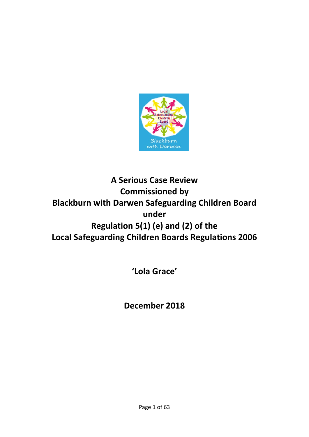

# **A Serious Case Review Commissioned by Blackburn with Darwen Safeguarding Children Board under Regulation 5(1) (e) and (2) of the Local Safeguarding Children Boards Regulations 2006**

**'Lola Grace'**

**December 2018**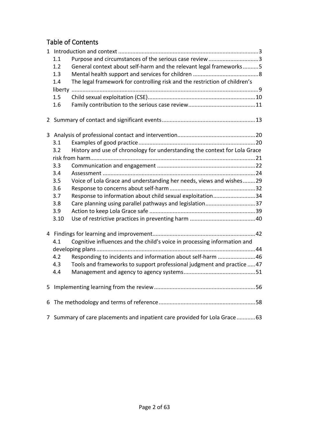# Table of Contents

|              | 1.1<br>1.2<br>1.3<br>1.4<br>1.5<br>1.6                                          | Purpose and circumstances of the serious case review 3<br>General context about self-harm and the relevant legal frameworks5<br>The legal framework for controlling risk and the restriction of children's |  |
|--------------|---------------------------------------------------------------------------------|------------------------------------------------------------------------------------------------------------------------------------------------------------------------------------------------------------|--|
|              |                                                                                 |                                                                                                                                                                                                            |  |
| $\mathbf{3}$ |                                                                                 |                                                                                                                                                                                                            |  |
|              | 3.1                                                                             |                                                                                                                                                                                                            |  |
|              | 3.2                                                                             | History and use of chronology for understanding the context for Lola Grace                                                                                                                                 |  |
|              |                                                                                 |                                                                                                                                                                                                            |  |
|              | 3.3                                                                             |                                                                                                                                                                                                            |  |
|              | 3.4                                                                             |                                                                                                                                                                                                            |  |
|              | 3.5                                                                             | Voice of Lola Grace and understanding her needs, views and wishes29                                                                                                                                        |  |
|              | 3.6                                                                             |                                                                                                                                                                                                            |  |
|              | 3.7                                                                             | Response to information about child sexual exploitation34                                                                                                                                                  |  |
|              | 3.8                                                                             | Care planning using parallel pathways and legislation37                                                                                                                                                    |  |
|              | 3.9                                                                             |                                                                                                                                                                                                            |  |
|              | 3.10                                                                            |                                                                                                                                                                                                            |  |
|              |                                                                                 |                                                                                                                                                                                                            |  |
|              | Cognitive influences and the child's voice in processing information and<br>4.1 |                                                                                                                                                                                                            |  |
|              |                                                                                 |                                                                                                                                                                                                            |  |
|              | 4.2                                                                             | Responding to incidents and information about self-harm 46                                                                                                                                                 |  |
|              | 4.3                                                                             | Tools and frameworks to support professional judgment and practice  47                                                                                                                                     |  |
|              | 4.4                                                                             |                                                                                                                                                                                                            |  |
|              |                                                                                 |                                                                                                                                                                                                            |  |
| 6            |                                                                                 |                                                                                                                                                                                                            |  |
| 7            |                                                                                 | Summary of care placements and inpatient care provided for Lola Grace63                                                                                                                                    |  |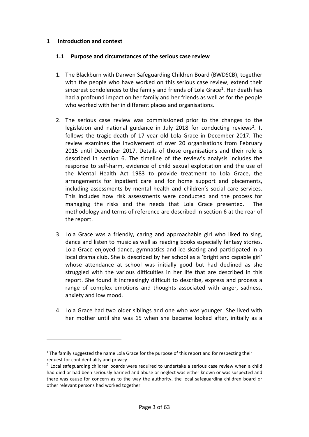#### <span id="page-2-0"></span>**1 Introduction and context**

#### <span id="page-2-1"></span>**1.1 Purpose and circumstances of the serious case review**

- 1. The Blackburn with Darwen Safeguarding Children Board (BWDSCB), together with the people who have worked on this serious case review, extend their sincerest condolences to the family and friends of Lola Grace<sup>[1](#page-2-2)</sup>. Her death has had a profound impact on her family and her friends as well as for the people who worked with her in different places and organisations.
- 2. The serious case review was commissioned prior to the changes to the legislation and national guidance in July 2018 for conducting reviews<sup>2</sup>. It follows the tragic death of 17 year old Lola Grace in December 2017. The review examines the involvement of over 20 organisations from February 2015 until December 2017. Details of those organisations and their role is described in section 6. The timeline of the review's analysis includes the response to self-harm, evidence of child sexual exploitation and the use of the Mental Health Act 1983 to provide treatment to Lola Grace, the arrangements for inpatient care and for home support and placements, including assessments by mental health and children's social care services. This includes how risk assessments were conducted and the process for managing the risks and the needs that Lola Grace presented. The methodology and terms of reference are described in section 6 at the rear of the report.
- 3. Lola Grace was a friendly, caring and approachable girl who liked to sing, dance and listen to music as well as reading books especially fantasy stories. Lola Grace enjoyed dance, gymnastics and ice skating and participated in a local drama club. She is described by her school as a 'bright and capable girl' whose attendance at school was initially good but had declined as she struggled with the various difficulties in her life that are described in this report. She found it increasingly difficult to describe, express and process a range of complex emotions and thoughts associated with anger, sadness, anxiety and low mood.
- 4. Lola Grace had two older siblings and one who was younger. She lived with her mother until she was 15 when she became looked after, initially as a

<span id="page-2-2"></span> $1$  The family suggested the name Lola Grace for the purpose of this report and for respecting their request for confidentiality and privacy.

<span id="page-2-3"></span><sup>&</sup>lt;sup>2</sup> Local safeguarding children boards were required to undertake a serious case review when a child had died or had been seriously harmed and abuse or neglect was either known or was suspected and there was cause for concern as to the way the authority, the local safeguarding children board or other relevant persons had worked together.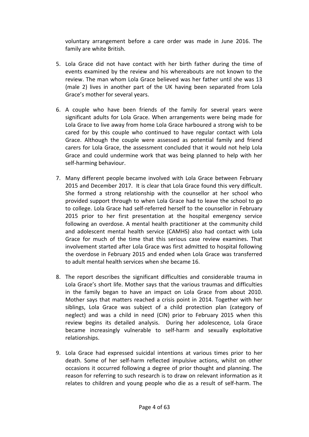voluntary arrangement before a care order was made in June 2016. The family are white British.

- 5. Lola Grace did not have contact with her birth father during the time of events examined by the review and his whereabouts are not known to the review. The man whom Lola Grace believed was her father until she was 13 (male 2) lives in another part of the UK having been separated from Lola Grace's mother for several years.
- 6. A couple who have been friends of the family for several years were significant adults for Lola Grace. When arrangements were being made for Lola Grace to live away from home Lola Grace harboured a strong wish to be cared for by this couple who continued to have regular contact with Lola Grace. Although the couple were assessed as potential family and friend carers for Lola Grace, the assessment concluded that it would not help Lola Grace and could undermine work that was being planned to help with her self-harming behaviour.
- 7. Many different people became involved with Lola Grace between February 2015 and December 2017. It is clear that Lola Grace found this very difficult. She formed a strong relationship with the counsellor at her school who provided support through to when Lola Grace had to leave the school to go to college. Lola Grace had self-referred herself to the counsellor in February 2015 prior to her first presentation at the hospital emergency service following an overdose. A mental health practitioner at the community child and adolescent mental health service (CAMHS) also had contact with Lola Grace for much of the time that this serious case review examines. That involvement started after Lola Grace was first admitted to hospital following the overdose in February 2015 and ended when Lola Grace was transferred to adult mental health services when she became 16.
- 8. The report describes the significant difficulties and considerable trauma in Lola Grace's short life. Mother says that the various traumas and difficulties in the family began to have an impact on Lola Grace from about 2010. Mother says that matters reached a crisis point in 2014. Together with her siblings, Lola Grace was subject of a child protection plan (category of neglect) and was a child in need (CIN) prior to February 2015 when this review begins its detailed analysis. During her adolescence, Lola Grace became increasingly vulnerable to self-harm and sexually exploitative relationships.
- 9. Lola Grace had expressed suicidal intentions at various times prior to her death. Some of her self-harm reflected impulsive actions, whilst on other occasions it occurred following a degree of prior thought and planning. The reason for referring to such research is to draw on relevant information as it relates to children and young people who die as a result of self-harm. The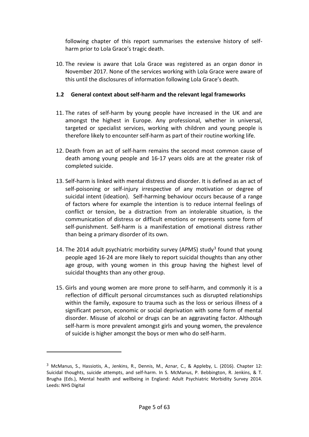following chapter of this report summarises the extensive history of selfharm prior to Lola Grace's tragic death.

10. The review is aware that Lola Grace was registered as an organ donor in November 2017. None of the services working with Lola Grace were aware of this until the disclosures of information following Lola Grace's death.

# <span id="page-4-0"></span>**1.2 General context about self-harm and the relevant legal frameworks**

- 11. The rates of self-harm by young people have increased in the UK and are amongst the highest in Europe. Any professional, whether in universal, targeted or specialist services, working with children and young people is therefore likely to encounter self-harm as part of their routine working life.
- 12. Death from an act of self-harm remains the second most common cause of death among young people and 16-17 years olds are at the greater risk of completed suicide.
- 13. Self-harm is linked with mental distress and disorder. It is defined as an act of self-poisoning or self-injury irrespective of any motivation or degree of suicidal intent (ideation). Self-harming behaviour occurs because of a range of factors where for example the intention is to reduce internal feelings of conflict or tension, be a distraction from an intolerable situation, is the communication of distress or difficult emotions or represents some form of self-punishment. Self-harm is a manifestation of emotional distress rather than being a primary disorder of its own.
- 14. The 2014 adult psychiatric morbidity survey (APMS) study<sup>[3](#page-4-1)</sup> found that young people aged 16-24 are more likely to report suicidal thoughts than any other age group, with young women in this group having the highest level of suicidal thoughts than any other group.
- 15. Girls and young women are more prone to self-harm, and commonly it is a reflection of difficult personal circumstances such as disrupted relationships within the family, exposure to trauma such as the loss or serious illness of a significant person, economic or social deprivation with some form of mental disorder. Misuse of alcohol or drugs can be an aggravating factor. Although self-harm is more prevalent amongst girls and young women, the prevalence of suicide is higher amongst the boys or men who do self-harm.

<span id="page-4-1"></span><sup>3</sup> McManus, S., Hassiotis, A., Jenkins, R., Dennis, M., Aznar, C., & Appleby, L. (2016). Chapter 12: Suicidal thoughts, suicide attempts, and self-harm. In S. McManus, P. Bebbington, R. Jenkins, & T. Brugha (Eds.), Mental health and wellbeing in England: Adult Psychiatric Morbidity Survey 2014. Leeds: NHS Digital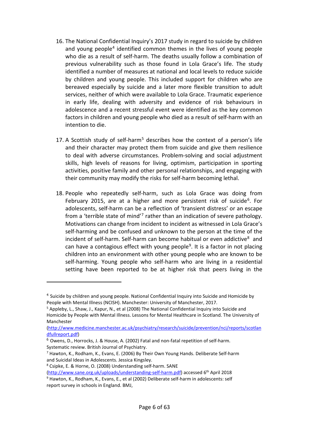- 16. The National Confidential Inquiry's 2017 study in regard to suicide by children and young people<sup>[4](#page-5-0)</sup> identified common themes in the lives of young people who die as a result of self-harm. The deaths usually follow a combination of previous vulnerability such as those found in Lola Grace's life. The study identified a number of measures at national and local levels to reduce suicide by children and young people. This included support for children who are bereaved especially by suicide and a later more flexible transition to adult services, neither of which were available to Lola Grace. Traumatic experience in early life, dealing with adversity and evidence of risk behaviours in adolescence and a recent stressful event were identified as the key common factors in children and young people who died as a result of self-harm with an intention to die.
- 17. A Scottish study of self-harm<sup>[5](#page-5-1)</sup> describes how the context of a person's life and their character may protect them from suicide and give them resilience to deal with adverse circumstances. Problem-solving and social adjustment skills, high levels of reasons for living, optimism, participation in sporting activities, positive family and other personal relationships, and engaging with their community may modify the risks for self-harm becoming lethal.
- 18. People who repeatedly self-harm, such as Lola Grace was doing from February 2015, are at a higher and more persistent risk of suicide<sup>6</sup>. For adolescents, self-harm can be a reflection of 'transient distress' or an escape from a 'terrible state of mind'<sup>[7](#page-5-3)</sup> rather than an indication of severe pathology. Motivations can change from incident to incident as witnessed in Lola Grace's self-harming and be confused and unknown to the person at the time of the incident of self-harm. Self-harm can become habitual or even addictive $8$  and can have a contagious effect with young people<sup>[9](#page-5-5)</sup>. It is a factor in not placing children into an environment with other young people who are known to be self-harming. Young people who self-harm who are living in a residential setting have been reported to be at higher risk that peers living in the

<span id="page-5-0"></span><sup>4</sup> Suicide by children and young people. National Confidential Inquiry into Suicide and Homicide by People with Mental Illness (NCISH). Manchester: University of Manchester, 2017.

<span id="page-5-1"></span><sup>5</sup> Appleby, L., Shaw, J., Kapur, N., et al (2008) The National Confidential Inquiry into Suicide and Homicide by People with Mental Illness. Lessons for Mental Healthcare in Scotland. The University of Manchester

[<sup>\(</sup>http://www.medicine.manchester.ac.uk/psychiatry/research/suicide/prevention/nci/reports/scotlan](http://www.medicine.manchester.ac.uk/psychiatry/research/suicide/prevention/nci/reports/scotlandfullreport.pdf) [dfullreport.pdf\)](http://www.medicine.manchester.ac.uk/psychiatry/research/suicide/prevention/nci/reports/scotlandfullreport.pdf)

<span id="page-5-2"></span><sup>6</sup> Owens, D., Horrocks, J. & House, A. (2002) Fatal and non-fatal repetition of self-harm. Systematic review. British Journal of Psychiatry.

<span id="page-5-3"></span><sup>7</sup> Hawton, K., Rodham, K., Evans, E. (2006) By Their Own Young Hands. Deliberate Self-harm and Suicidal Ideas in Adolescents. Jessica Kingsley.

<span id="page-5-4"></span><sup>8</sup> Csipke, E. & Horne, O. (2008) Understanding self-harm. SANE

<span id="page-5-5"></span>[<sup>\(</sup>http://www.sane.org.uk/uploads/understanding-self-harm.pdf\)](http://www.sane.org.uk/uploads/understanding-self-harm.pdf) accessed 6th April 2018 <sup>9</sup> Hawton, K., Rodham, K., Evans, E., et al (2002) Deliberate self-harm in adolescents: self report survey in schools in England. BMJ,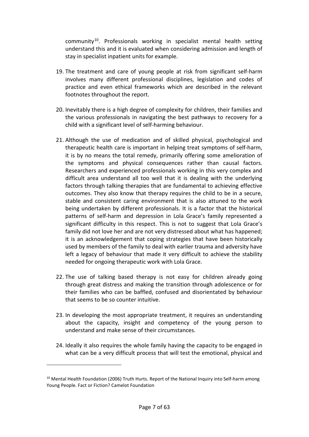community[10.](#page-6-0) Professionals working in specialist mental health setting understand this and it is evaluated when considering admission and length of stay in specialist inpatient units for example.

- 19. The treatment and care of young people at risk from significant self-harm involves many different professional disciplines, legislation and codes of practice and even ethical frameworks which are described in the relevant footnotes throughout the report.
- 20. Inevitably there is a high degree of complexity for children, their families and the various professionals in navigating the best pathways to recovery for a child with a significant level of self-harming behaviour.
- 21. Although the use of medication and of skilled physical, psychological and therapeutic health care is important in helping treat symptoms of self-harm, it is by no means the total remedy, primarily offering some amelioration of the symptoms and physical consequences rather than causal factors. Researchers and experienced professionals working in this very complex and difficult area understand all too well that it is dealing with the underlying factors through talking therapies that are fundamental to achieving effective outcomes. They also know that therapy requires the child to be in a secure, stable and consistent caring environment that is also attuned to the work being undertaken by different professionals. It is a factor that the historical patterns of self-harm and depression in Lola Grace's family represented a significant difficulty in this respect. This is not to suggest that Lola Grace's family did not love her and are not very distressed about what has happened; it is an acknowledgement that coping strategies that have been historically used by members of the family to deal with earlier trauma and adversity have left a legacy of behaviour that made it very difficult to achieve the stability needed for ongoing therapeutic work with Lola Grace.
- 22. The use of talking based therapy is not easy for children already going through great distress and making the transition through adolescence or for their families who can be baffled, confused and disorientated by behaviour that seems to be so counter intuitive.
- 23. In developing the most appropriate treatment, it requires an understanding about the capacity, insight and competency of the young person to understand and make sense of their circumstances.
- 24. Ideally it also requires the whole family having the capacity to be engaged in what can be a very difficult process that will test the emotional, physical and

<span id="page-6-0"></span><sup>&</sup>lt;sup>10</sup> Mental Health Foundation (2006) Truth Hurts. Report of the National Inquiry into Self-harm among Young People. Fact or Fiction? Camelot Foundation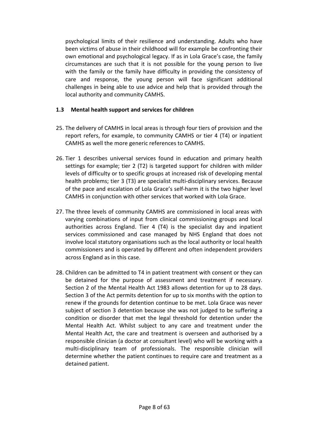psychological limits of their resilience and understanding. Adults who have been victims of abuse in their childhood will for example be confronting their own emotional and psychological legacy. If as in Lola Grace's case, the family circumstances are such that it is not possible for the young person to live with the family or the family have difficulty in providing the consistency of care and response, the young person will face significant additional challenges in being able to use advice and help that is provided through the local authority and community CAMHS.

## <span id="page-7-0"></span>**1.3 Mental health support and services for children**

- 25. The delivery of CAMHS in local areas is through four tiers of provision and the report refers, for example, to community CAMHS or tier 4 (T4) or inpatient CAMHS as well the more generic references to CAMHS.
- 26. Tier 1 describes universal services found in education and primary health settings for example; tier 2 (T2) is targeted support for children with milder levels of difficulty or to specific groups at increased risk of developing mental health problems; tier 3 (T3) are specialist multi-disciplinary services. Because of the pace and escalation of Lola Grace's self-harm it is the two higher level CAMHS in conjunction with other services that worked with Lola Grace.
- 27. The three levels of community CAMHS are commissioned in local areas with varying combinations of input from clinical commissioning groups and local authorities across England. Tier 4 (T4) is the specialist day and inpatient services commissioned and case managed by NHS England that does not involve local statutory organisations such as the local authority or local health commissioners and is operated by different and often independent providers across England as in this case.
- 28. Children can be admitted to T4 in patient treatment with consent or they can be detained for the purpose of assessment and treatment if necessary. Section 2 of the Mental Health Act 1983 allows detention for up to 28 days. Section 3 of the Act permits detention for up to six months with the option to renew if the grounds for detention continue to be met. Lola Grace was never subject of section 3 detention because she was not judged to be suffering a condition or disorder that met the legal threshold for detention under the Mental Health Act. Whilst subject to any care and treatment under the Mental Health Act, the care and treatment is overseen and authorised by a responsible clinician (a doctor at consultant level) who will be working with a multi-disciplinary team of professionals. The responsible clinician will determine whether the patient continues to require care and treatment as a detained patient.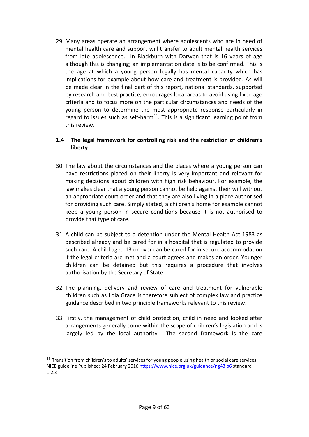29. Many areas operate an arrangement where adolescents who are in need of mental health care and support will transfer to adult mental health services from late adolescence. In Blackburn with Darwen that is 16 years of age although this is changing; an implementation date is to be confirmed. This is the age at which a young person legally has mental capacity which has implications for example about how care and treatment is provided. As will be made clear in the final part of this report, national standards, supported by research and best practice, encourages local areas to avoid using fixed age criteria and to focus more on the particular circumstances and needs of the young person to determine the most appropriate response particularly in regard to issues such as self-harm<sup>[11](#page-8-1)</sup>. This is a significant learning point from this review.

# <span id="page-8-0"></span>**1.4 The legal framework for controlling risk and the restriction of children's liberty**

- 30. The law about the circumstances and the places where a young person can have restrictions placed on their liberty is very important and relevant for making decisions about children with high risk behaviour. For example, the law makes clear that a young person cannot be held against their will without an appropriate court order and that they are also living in a place authorised for providing such care. Simply stated, a children's home for example cannot keep a young person in secure conditions because it is not authorised to provide that type of care.
- 31. A child can be subject to a detention under the Mental Health Act 1983 as described already and be cared for in a hospital that is regulated to provide such care. A child aged 13 or over can be cared for in secure accommodation if the legal criteria are met and a court agrees and makes an order. Younger children can be detained but this requires a procedure that involves authorisation by the Secretary of State.
- 32. The planning, delivery and review of care and treatment for vulnerable children such as Lola Grace is therefore subject of complex law and practice guidance described in two principle frameworks relevant to this review.
- 33. Firstly, the management of child protection, child in need and looked after arrangements generally come within the scope of children's legislation and is largely led by the local authority. The second framework is the care

<span id="page-8-1"></span> $11$  Transition from children's to adults' services for young people using health or social care services NICE guideline Published: 24 February 2016 [https://www.nice.org.uk/guidance/ng43 p6](https://www.nice.org.uk/guidance/ng43%20p6) standard 1.2.3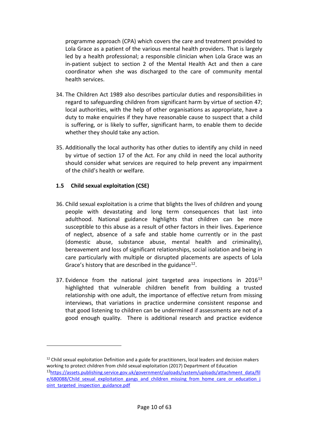programme approach (CPA) which covers the care and treatment provided to Lola Grace as a patient of the various mental health providers. That is largely led by a health professional; a responsible clinician when Lola Grace was an in-patient subject to section 2 of the Mental Health Act and then a care coordinator when she was discharged to the care of community mental health services.

- 34. The Children Act 1989 also describes particular duties and responsibilities in regard to safeguarding children from significant harm by virtue of section 47; local authorities, with the help of other organisations as appropriate, have a duty to make enquiries if they have reasonable cause to suspect that a child is suffering, or is likely to suffer, significant harm, to enable them to decide whether they should take any action.
- 35. Additionally the local authority has other duties to identify any child in need by virtue of section 17 of the Act. For any child in need the local authority should consider what services are required to help prevent any impairment of the child's health or welfare.

#### <span id="page-9-0"></span>**1.5 Child sexual exploitation (CSE)**

- 36. Child sexual exploitation is a crime that blights the lives of children and young people with devastating and long term consequences that last into adulthood. National guidance highlights that children can be more susceptible to this abuse as a result of other factors in their lives. Experience of neglect, absence of a safe and stable home currently or in the past (domestic abuse, substance abuse, mental health and criminality), bereavement and loss of significant relationships, social isolation and being in care particularly with multiple or disrupted placements are aspects of Lola Grace's history that are described in the guidance<sup>[12](#page-9-1)</sup>.
- 37. Evidence from the national joint targeted area inspections in  $2016^{13}$ highlighted that vulnerable children benefit from building a trusted relationship with one adult, the importance of effective return from missing interviews, that variations in practice undermine consistent response and that good listening to children can be undermined if assessments are not of a good enough quality. There is additional research and practice evidence

<span id="page-9-1"></span> $12$  Child sexual exploitation Definition and a guide for practitioners, local leaders and decision makers working to protect children from child sexual exploitation (2017) Department of Education

<span id="page-9-2"></span><sup>13</sup>[https://assets.publishing.service.gov.uk/government/uploads/system/uploads/attachment\\_data/fil](https://assets.publishing.service.gov.uk/government/uploads/system/uploads/attachment_data/file/680088/Child_sexual_exploitation_gangs_and_children_missing_from_home_care_or_education_joint_targeted_inspection_guidance.pdf) e/680088/Child sexual exploitation gangs and children missing from home care or education j [oint\\_targeted\\_inspection\\_guidance.pdf](https://assets.publishing.service.gov.uk/government/uploads/system/uploads/attachment_data/file/680088/Child_sexual_exploitation_gangs_and_children_missing_from_home_care_or_education_joint_targeted_inspection_guidance.pdf)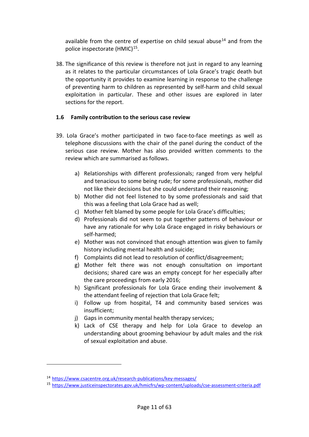available from the centre of expertise on child sexual abuse $14$  and from the police inspectorate  $(HMIC)^{15}$ .

38. The significance of this review is therefore not just in regard to any learning as it relates to the particular circumstances of Lola Grace's tragic death but the opportunity it provides to examine learning in response to the challenge of preventing harm to children as represented by self-harm and child sexual exploitation in particular. These and other issues are explored in later sections for the report.

# <span id="page-10-0"></span>**1.6 Family contribution to the serious case review**

- 39. Lola Grace's mother participated in two face-to-face meetings as well as telephone discussions with the chair of the panel during the conduct of the serious case review. Mother has also provided written comments to the review which are summarised as follows.
	- a) Relationships with different professionals; ranged from very helpful and tenacious to some being rude; for some professionals, mother did not like their decisions but she could understand their reasoning;
	- b) Mother did not feel listened to by some professionals and said that this was a feeling that Lola Grace had as well;
	- c) Mother felt blamed by some people for Lola Grace's difficulties;
	- d) Professionals did not seem to put together patterns of behaviour or have any rationale for why Lola Grace engaged in risky behaviours or self-harmed;
	- e) Mother was not convinced that enough attention was given to family history including mental health and suicide;
	- f) Complaints did not lead to resolution of conflict/disagreement;
	- g) Mother felt there was not enough consultation on important decisions; shared care was an empty concept for her especially after the care proceedings from early 2016;
	- h) Significant professionals for Lola Grace ending their involvement & the attendant feeling of rejection that Lola Grace felt;
	- i) Follow up from hospital, T4 and community based services was insufficient;
	- j) Gaps in community mental health therapy services;
	- k) Lack of CSE therapy and help for Lola Grace to develop an understanding about grooming behaviour by adult males and the risk of sexual exploitation and abuse.

<span id="page-10-1"></span><sup>14</sup> <https://www.csacentre.org.uk/research-publications/key-messages/>

<span id="page-10-2"></span><sup>15</sup> <https://www.justiceinspectorates.gov.uk/hmicfrs/wp-content/uploads/cse-assessment-criteria.pdf>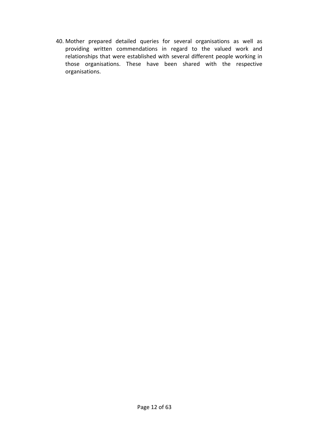40. Mother prepared detailed queries for several organisations as well as providing written commendations in regard to the valued work and relationships that were established with several different people working in those organisations. These have been shared with the respective organisations.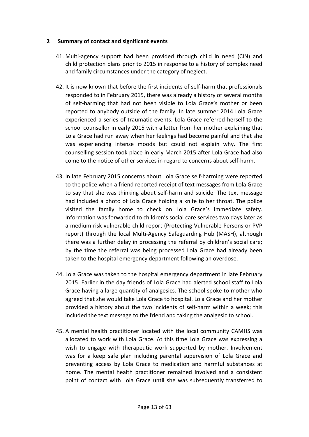#### <span id="page-12-0"></span>**2 Summary of contact and significant events**

- 41. Multi-agency support had been provided through child in need (CIN) and child protection plans prior to 2015 in response to a history of complex need and family circumstances under the category of neglect.
- 42. It is now known that before the first incidents of self-harm that professionals responded to in February 2015, there was already a history of several months of self-harming that had not been visible to Lola Grace's mother or been reported to anybody outside of the family. In late summer 2014 Lola Grace experienced a series of traumatic events. Lola Grace referred herself to the school counsellor in early 2015 with a letter from her mother explaining that Lola Grace had run away when her feelings had become painful and that she was experiencing intense moods but could not explain why. The first counselling session took place in early March 2015 after Lola Grace had also come to the notice of other services in regard to concerns about self-harm.
- 43. In late February 2015 concerns about Lola Grace self-harming were reported to the police when a friend reported receipt of text messages from Lola Grace to say that she was thinking about self-harm and suicide. The text message had included a photo of Lola Grace holding a knife to her throat. The police visited the family home to check on Lola Grace's immediate safety. Information was forwarded to children's social care services two days later as a medium risk vulnerable child report (Protecting Vulnerable Persons or PVP report) through the local Multi-Agency Safeguarding Hub (MASH), although there was a further delay in processing the referral by children's social care; by the time the referral was being processed Lola Grace had already been taken to the hospital emergency department following an overdose.
- 44. Lola Grace was taken to the hospital emergency department in late February 2015. Earlier in the day friends of Lola Grace had alerted school staff to Lola Grace having a large quantity of analgesics. The school spoke to mother who agreed that she would take Lola Grace to hospital. Lola Grace and her mother provided a history about the two incidents of self-harm within a week; this included the text message to the friend and taking the analgesic to school.
- 45. A mental health practitioner located with the local community CAMHS was allocated to work with Lola Grace. At this time Lola Grace was expressing a wish to engage with therapeutic work supported by mother. Involvement was for a keep safe plan including parental supervision of Lola Grace and preventing access by Lola Grace to medication and harmful substances at home. The mental health practitioner remained involved and a consistent point of contact with Lola Grace until she was subsequently transferred to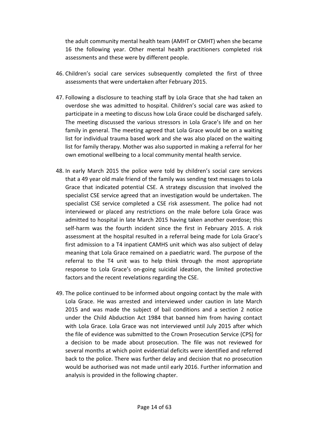the adult community mental health team (AMHT or CMHT) when she became 16 the following year. Other mental health practitioners completed risk assessments and these were by different people.

- 46. Children's social care services subsequently completed the first of three assessments that were undertaken after February 2015.
- 47. Following a disclosure to teaching staff by Lola Grace that she had taken an overdose she was admitted to hospital. Children's social care was asked to participate in a meeting to discuss how Lola Grace could be discharged safely. The meeting discussed the various stressors in Lola Grace's life and on her family in general. The meeting agreed that Lola Grace would be on a waiting list for individual trauma based work and she was also placed on the waiting list for family therapy. Mother was also supported in making a referral for her own emotional wellbeing to a local community mental health service.
- 48. In early March 2015 the police were told by children's social care services that a 49 year old male friend of the family was sending text messages to Lola Grace that indicated potential CSE. A strategy discussion that involved the specialist CSE service agreed that an investigation would be undertaken. The specialist CSE service completed a CSE risk assessment. The police had not interviewed or placed any restrictions on the male before Lola Grace was admitted to hospital in late March 2015 having taken another overdose; this self-harm was the fourth incident since the first in February 2015. A risk assessment at the hospital resulted in a referral being made for Lola Grace's first admission to a T4 inpatient CAMHS unit which was also subject of delay meaning that Lola Grace remained on a paediatric ward. The purpose of the referral to the T4 unit was to help think through the most appropriate response to Lola Grace's on-going suicidal ideation, the limited protective factors and the recent revelations regarding the CSE.
- 49. The police continued to be informed about ongoing contact by the male with Lola Grace. He was arrested and interviewed under caution in late March 2015 and was made the subject of bail conditions and a section 2 notice under the Child Abduction Act 1984 that banned him from having contact with Lola Grace. Lola Grace was not interviewed until July 2015 after which the file of evidence was submitted to the Crown Prosecution Service (CPS) for a decision to be made about prosecution. The file was not reviewed for several months at which point evidential deficits were identified and referred back to the police. There was further delay and decision that no prosecution would be authorised was not made until early 2016. Further information and analysis is provided in the following chapter.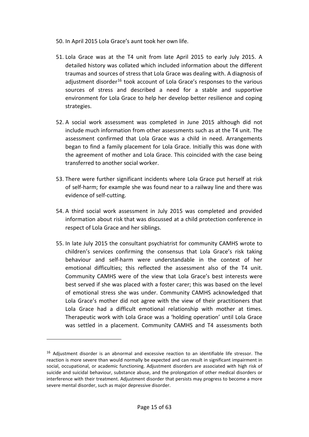- 50. In April 2015 Lola Grace's aunt took her own life.
- 51. Lola Grace was at the T4 unit from late April 2015 to early July 2015. A detailed history was collated which included information about the different traumas and sources of stress that Lola Grace was dealing with. A diagnosis of adjustment disorder<sup>[16](#page-14-0)</sup> took account of Lola Grace's responses to the various sources of stress and described a need for a stable and supportive environment for Lola Grace to help her develop better resilience and coping strategies.
- 52. A social work assessment was completed in June 2015 although did not include much information from other assessments such as at the T4 unit. The assessment confirmed that Lola Grace was a child in need. Arrangements began to find a family placement for Lola Grace. Initially this was done with the agreement of mother and Lola Grace. This coincided with the case being transferred to another social worker.
- 53. There were further significant incidents where Lola Grace put herself at risk of self-harm; for example she was found near to a railway line and there was evidence of self-cutting.
- 54. A third social work assessment in July 2015 was completed and provided information about risk that was discussed at a child protection conference in respect of Lola Grace and her siblings.
- 55. In late July 2015 the consultant psychiatrist for community CAMHS wrote to children's services confirming the consensus that Lola Grace's risk taking behaviour and self-harm were understandable in the context of her emotional difficulties; this reflected the assessment also of the T4 unit. Community CAMHS were of the view that Lola Grace's best interests were best served if she was placed with a foster carer; this was based on the level of emotional stress she was under. Community CAMHS acknowledged that Lola Grace's mother did not agree with the view of their practitioners that Lola Grace had a difficult emotional relationship with mother at times. Therapeutic work with Lola Grace was a 'holding operation' until Lola Grace was settled in a placement. Community CAMHS and T4 assessments both

<span id="page-14-0"></span><sup>&</sup>lt;sup>16</sup> Adjustment disorder is an abnormal and excessive reaction to an identifiable life stressor. The reaction is more severe than would normally be expected and can result in significant impairment in social, occupational, or academic functioning. Adjustment disorders are associated with high risk of suicide and suicidal behaviour, substance abuse, and the prolongation of other medical disorders or interference with their treatment. Adjustment disorder that persists may progress to become a more severe mental disorder, such as major depressive disorder.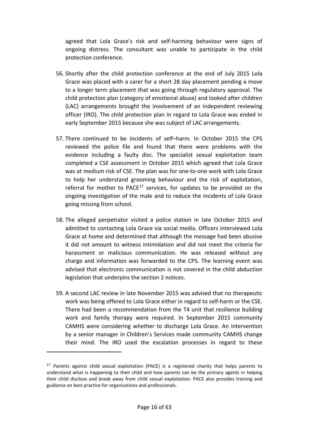agreed that Lola Grace's risk and self-harming behaviour were signs of ongoing distress. The consultant was unable to participate in the child protection conference.

- 56. Shortly after the child protection conference at the end of July 2015 Lola Grace was placed with a carer for a short 28 day placement pending a move to a longer term placement that was going through regulatory approval. The child protection plan (category of emotional abuse) and looked after children (LAC) arrangements brought the involvement of an independent reviewing officer (IRO). The child protection plan in regard to Lola Grace was ended in early September 2015 because she was subject of LAC arrangements.
- 57. There continued to be incidents of self–harm. In October 2015 the CPS reviewed the police file and found that there were problems with the evidence including a faulty disc. The specialist sexual exploitation team completed a CSE assessment in October 2015 which agreed that Lola Grace was at medium risk of CSE. The plan was for one-to-one work with Lola Grace to help her understand grooming behaviour and the risk of exploitation, referral for mother to PACE<sup>[17](#page-15-0)</sup> services, for updates to be provided on the ongoing investigation of the male and to reduce the incidents of Lola Grace going missing from school.
- 58. The alleged perpetrator visited a police station in late October 2015 and admitted to contacting Lola Grace via social media. Officers interviewed Lola Grace at home and determined that although the message had been abusive it did not amount to witness intimidation and did not meet the criteria for harassment or malicious communication. He was released without any charge and information was forwarded to the CPS. The learning event was advised that electronic communication is not covered in the child abduction legislation that underpins the section 2 notices.
- 59. A second LAC review in late November 2015 was advised that no therapeutic work was being offered to Lola Grace either in regard to self-harm or the CSE. There had been a recommendation from the T4 unit that resilience building work and family therapy were required. In September 2015 community CAMHS were considering whether to discharge Lola Grace. An intervention by a senior manager in Children's Services made community CAMHS change their mind. The IRO used the escalation processes in regard to these

<span id="page-15-0"></span> $17$  Parents against child sexual exploitation (PACE) is a registered charity that helps parents to understand what is happening to their child and how parents can be the primary agents in helping their child disclose and break away from child sexual exploitation. PACE also provides training and guidance on best practice for organisations and professionals.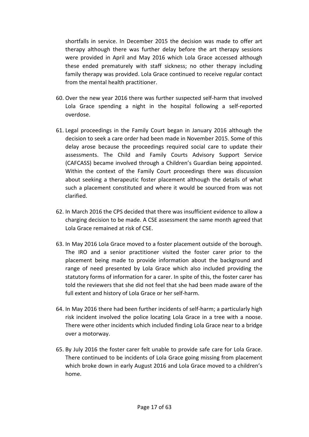shortfalls in service. In December 2015 the decision was made to offer art therapy although there was further delay before the art therapy sessions were provided in April and May 2016 which Lola Grace accessed although these ended prematurely with staff sickness; no other therapy including family therapy was provided. Lola Grace continued to receive regular contact from the mental health practitioner.

- 60. Over the new year 2016 there was further suspected self-harm that involved Lola Grace spending a night in the hospital following a self-reported overdose.
- 61. Legal proceedings in the Family Court began in January 2016 although the decision to seek a care order had been made in November 2015. Some of this delay arose because the proceedings required social care to update their assessments. The Child and Family Courts Advisory Support Service (CAFCASS) became involved through a Children's Guardian being appointed. Within the context of the Family Court proceedings there was discussion about seeking a therapeutic foster placement although the details of what such a placement constituted and where it would be sourced from was not clarified.
- 62. In March 2016 the CPS decided that there was insufficient evidence to allow a charging decision to be made. A CSE assessment the same month agreed that Lola Grace remained at risk of CSE.
- 63. In May 2016 Lola Grace moved to a foster placement outside of the borough. The IRO and a senior practitioner visited the foster carer prior to the placement being made to provide information about the background and range of need presented by Lola Grace which also included providing the statutory forms of information for a carer. In spite of this, the foster carer has told the reviewers that she did not feel that she had been made aware of the full extent and history of Lola Grace or her self-harm.
- 64. In May 2016 there had been further incidents of self-harm; a particularly high risk incident involved the police locating Lola Grace in a tree with a noose. There were other incidents which included finding Lola Grace near to a bridge over a motorway.
- 65. By July 2016 the foster carer felt unable to provide safe care for Lola Grace. There continued to be incidents of Lola Grace going missing from placement which broke down in early August 2016 and Lola Grace moved to a children's home.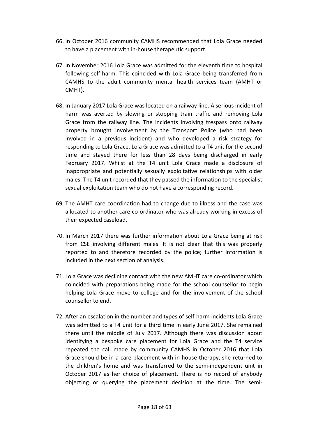- 66. In October 2016 community CAMHS recommended that Lola Grace needed to have a placement with in-house therapeutic support.
- 67. In November 2016 Lola Grace was admitted for the eleventh time to hospital following self-harm. This coincided with Lola Grace being transferred from CAMHS to the adult community mental health services team (AMHT or CMHT).
- 68. In January 2017 Lola Grace was located on a railway line. A serious incident of harm was averted by slowing or stopping train traffic and removing Lola Grace from the railway line. The incidents involving trespass onto railway property brought involvement by the Transport Police (who had been involved in a previous incident) and who developed a risk strategy for responding to Lola Grace. Lola Grace was admitted to a T4 unit for the second time and stayed there for less than 28 days being discharged in early February 2017. Whilst at the T4 unit Lola Grace made a disclosure of inappropriate and potentially sexually exploitative relationships with older males. The T4 unit recorded that they passed the information to the specialist sexual exploitation team who do not have a corresponding record.
- 69. The AMHT care coordination had to change due to illness and the case was allocated to another care co-ordinator who was already working in excess of their expected caseload.
- 70. In March 2017 there was further information about Lola Grace being at risk from CSE involving different males. It is not clear that this was properly reported to and therefore recorded by the police; further information is included in the next section of analysis.
- 71. Lola Grace was declining contact with the new AMHT care co-ordinator which coincided with preparations being made for the school counsellor to begin helping Lola Grace move to college and for the involvement of the school counsellor to end.
- 72. After an escalation in the number and types of self-harm incidents Lola Grace was admitted to a T4 unit for a third time in early June 2017. She remained there until the middle of July 2017. Although there was discussion about identifying a bespoke care placement for Lola Grace and the T4 service repeated the call made by community CAMHS in October 2016 that Lola Grace should be in a care placement with in-house therapy, she returned to the children's home and was transferred to the semi-independent unit in October 2017 as her choice of placement. There is no record of anybody objecting or querying the placement decision at the time. The semi-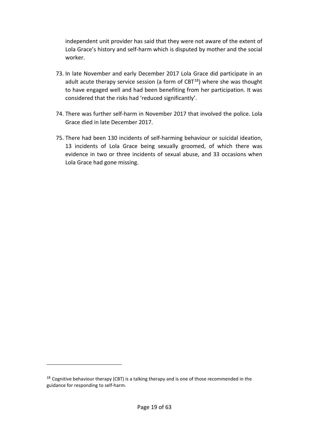independent unit provider has said that they were not aware of the extent of Lola Grace's history and self-harm which is disputed by mother and the social worker.

- 73. In late November and early December 2017 Lola Grace did participate in an adult acute therapy service session (a form of  $CBT^{18}$ ) where she was thought to have engaged well and had been benefiting from her participation. It was considered that the risks had 'reduced significantly'.
- 74. There was further self-harm in November 2017 that involved the police. Lola Grace died in late December 2017.
- 75. There had been 130 incidents of self-harming behaviour or suicidal ideation, 13 incidents of Lola Grace being sexually groomed, of which there was evidence in two or three incidents of sexual abuse, and 33 occasions when Lola Grace had gone missing.

<span id="page-18-0"></span> $18$  Cognitive behaviour therapy (CBT) is a talking therapy and is one of those recommended in the guidance for responding to self-harm.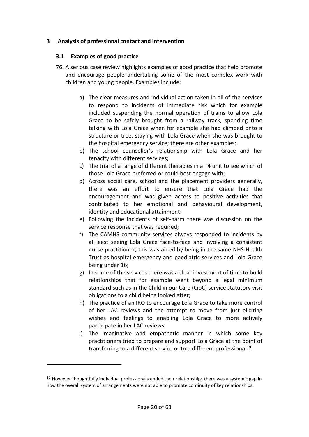# <span id="page-19-0"></span>**3 Analysis of professional contact and intervention**

#### <span id="page-19-1"></span>**3.1 Examples of good practice**

- 76. A serious case review highlights examples of good practice that help promote and encourage people undertaking some of the most complex work with children and young people. Examples include;
	- a) The clear measures and individual action taken in all of the services to respond to incidents of immediate risk which for example included suspending the normal operation of trains to allow Lola Grace to be safely brought from a railway track, spending time talking with Lola Grace when for example she had climbed onto a structure or tree, staying with Lola Grace when she was brought to the hospital emergency service; there are other examples;
	- b) The school counsellor's relationship with Lola Grace and her tenacity with different services;
	- c) The trial of a range of different therapies in a T4 unit to see which of those Lola Grace preferred or could best engage with;
	- d) Across social care, school and the placement providers generally, there was an effort to ensure that Lola Grace had the encouragement and was given access to positive activities that contributed to her emotional and behavioural development, identity and educational attainment;
	- e) Following the incidents of self-harm there was discussion on the service response that was required;
	- f) The CAMHS community services always responded to incidents by at least seeing Lola Grace face-to-face and involving a consistent nurse practitioner; this was aided by being in the same NHS Health Trust as hospital emergency and paediatric services and Lola Grace being under 16;
	- g) In some of the services there was a clear investment of time to build relationships that for example went beyond a legal minimum standard such as in the Child in our Care (CioC) service statutory visit obligations to a child being looked after;
	- h) The practice of an IRO to encourage Lola Grace to take more control of her LAC reviews and the attempt to move from just eliciting wishes and feelings to enabling Lola Grace to more actively participate in her LAC reviews;
	- i) The imaginative and empathetic manner in which some key practitioners tried to prepare and support Lola Grace at the point of transferring to a different service or to a different professional<sup>19</sup>.

<span id="page-19-2"></span><sup>&</sup>lt;sup>19</sup> However thoughtfully individual professionals ended their relationships there was a systemic gap in how the overall system of arrangements were not able to promote continuity of key relationships.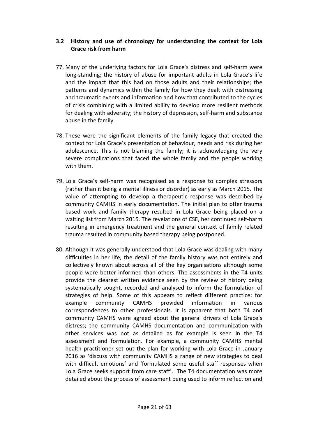# <span id="page-20-0"></span>**3.2 History and use of chronology for understanding the context for Lola Grace risk from harm**

- 77. Many of the underlying factors for Lola Grace's distress and self-harm were long-standing; the history of abuse for important adults in Lola Grace's life and the impact that this had on those adults and their relationships; the patterns and dynamics within the family for how they dealt with distressing and traumatic events and information and how that contributed to the cycles of crisis combining with a limited ability to develop more resilient methods for dealing with adversity; the history of depression, self-harm and substance abuse in the family.
- 78. These were the significant elements of the family legacy that created the context for Lola Grace's presentation of behaviour, needs and risk during her adolescence. This is not blaming the family; it is acknowledging the very severe complications that faced the whole family and the people working with them.
- 79. Lola Grace's self-harm was recognised as a response to complex stressors (rather than it being a mental illness or disorder) as early as March 2015. The value of attempting to develop a therapeutic response was described by community CAMHS in early documentation. The initial plan to offer trauma based work and family therapy resulted in Lola Grace being placed on a waiting list from March 2015. The revelations of CSE, her continued self-harm resulting in emergency treatment and the general context of family related trauma resulted in community based therapy being postponed.
- 80. Although it was generally understood that Lola Grace was dealing with many difficulties in her life, the detail of the family history was not entirely and collectively known about across all of the key organisations although some people were better informed than others. The assessments in the T4 units provide the clearest written evidence seen by the review of history being systematically sought, recorded and analysed to inform the formulation of strategies of help. Some of this appears to reflect different practice; for example community CAMHS provided information in various correspondences to other professionals. It is apparent that both T4 and community CAMHS were agreed about the general drivers of Lola Grace's distress; the community CAMHS documentation and communication with other services was not as detailed as for example is seen in the T4 assessment and formulation. For example, a community CAMHS mental health practitioner set out the plan for working with Lola Grace in January 2016 as 'discuss with community CAMHS a range of new strategies to deal with difficult emotions' and 'formulated some useful staff responses when Lola Grace seeks support from care staff'. The T4 documentation was more detailed about the process of assessment being used to inform reflection and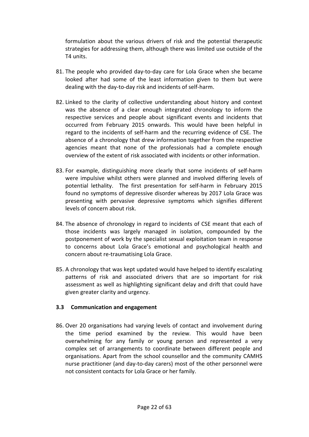formulation about the various drivers of risk and the potential therapeutic strategies for addressing them, although there was limited use outside of the T4 units.

- 81. The people who provided day-to-day care for Lola Grace when she became looked after had some of the least information given to them but were dealing with the day-to-day risk and incidents of self-harm.
- 82. Linked to the clarity of collective understanding about history and context was the absence of a clear enough integrated chronology to inform the respective services and people about significant events and incidents that occurred from February 2015 onwards. This would have been helpful in regard to the incidents of self-harm and the recurring evidence of CSE. The absence of a chronology that drew information together from the respective agencies meant that none of the professionals had a complete enough overview of the extent of risk associated with incidents or other information.
- 83. For example, distinguishing more clearly that some incidents of self-harm were impulsive whilst others were planned and involved differing levels of potential lethality. The first presentation for self-harm in February 2015 found no symptoms of depressive disorder whereas by 2017 Lola Grace was presenting with pervasive depressive symptoms which signifies different levels of concern about risk.
- 84. The absence of chronology in regard to incidents of CSE meant that each of those incidents was largely managed in isolation, compounded by the postponement of work by the specialist sexual exploitation team in response to concerns about Lola Grace's emotional and psychological health and concern about re-traumatising Lola Grace.
- 85. A chronology that was kept updated would have helped to identify escalating patterns of risk and associated drivers that are so important for risk assessment as well as highlighting significant delay and drift that could have given greater clarity and urgency.

#### <span id="page-21-0"></span>**3.3 Communication and engagement**

86. Over 20 organisations had varying levels of contact and involvement during the time period examined by the review. This would have been overwhelming for any family or young person and represented a very complex set of arrangements to coordinate between different people and organisations. Apart from the school counsellor and the community CAMHS nurse practitioner (and day-to-day carers) most of the other personnel were not consistent contacts for Lola Grace or her family.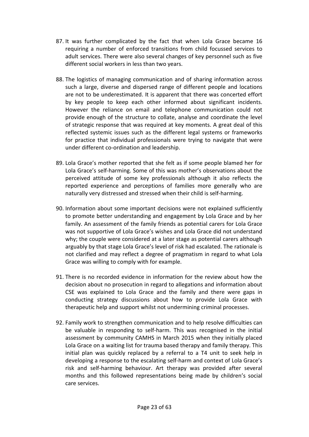- 87. It was further complicated by the fact that when Lola Grace became 16 requiring a number of enforced transitions from child focussed services to adult services. There were also several changes of key personnel such as five different social workers in less than two years.
- 88. The logistics of managing communication and of sharing information across such a large, diverse and dispersed range of different people and locations are not to be underestimated. It is apparent that there was concerted effort by key people to keep each other informed about significant incidents. However the reliance on email and telephone communication could not provide enough of the structure to collate, analyse and coordinate the level of strategic response that was required at key moments. A great deal of this reflected systemic issues such as the different legal systems or frameworks for practice that individual professionals were trying to navigate that were under different co-ordination and leadership.
- 89. Lola Grace's mother reported that she felt as if some people blamed her for Lola Grace's self-harming. Some of this was mother's observations about the perceived attitude of some key professionals although it also reflects the reported experience and perceptions of families more generally who are naturally very distressed and stressed when their child is self-harming.
- 90. Information about some important decisions were not explained sufficiently to promote better understanding and engagement by Lola Grace and by her family. An assessment of the family friends as potential carers for Lola Grace was not supportive of Lola Grace's wishes and Lola Grace did not understand why; the couple were considered at a later stage as potential carers although arguably by that stage Lola Grace's level of risk had escalated. The rationale is not clarified and may reflect a degree of pragmatism in regard to what Lola Grace was willing to comply with for example.
- 91. There is no recorded evidence in information for the review about how the decision about no prosecution in regard to allegations and information about CSE was explained to Lola Grace and the family and there were gaps in conducting strategy discussions about how to provide Lola Grace with therapeutic help and support whilst not undermining criminal processes.
- 92. Family work to strengthen communication and to help resolve difficulties can be valuable in responding to self-harm. This was recognised in the initial assessment by community CAMHS in March 2015 when they initially placed Lola Grace on a waiting list for trauma based therapy and family therapy. This initial plan was quickly replaced by a referral to a T4 unit to seek help in developing a response to the escalating self-harm and context of Lola Grace's risk and self-harming behaviour. Art therapy was provided after several months and this followed representations being made by children's social care services.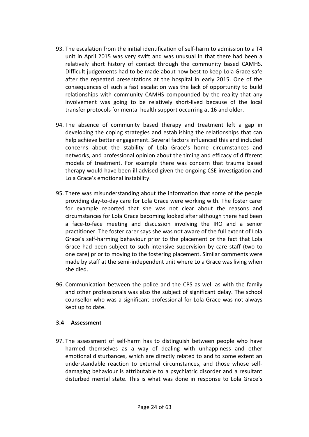- 93. The escalation from the initial identification of self-harm to admission to a T4 unit in April 2015 was very swift and was unusual in that there had been a relatively short history of contact through the community based CAMHS. Difficult judgements had to be made about how best to keep Lola Grace safe after the repeated presentations at the hospital in early 2015. One of the consequences of such a fast escalation was the lack of opportunity to build relationships with community CAMHS compounded by the reality that any involvement was going to be relatively short-lived because of the local transfer protocols for mental health support occurring at 16 and older.
- 94. The absence of community based therapy and treatment left a gap in developing the coping strategies and establishing the relationships that can help achieve better engagement. Several factors influenced this and included concerns about the stability of Lola Grace's home circumstances and networks, and professional opinion about the timing and efficacy of different models of treatment. For example there was concern that trauma based therapy would have been ill advised given the ongoing CSE investigation and Lola Grace's emotional instability.
- 95. There was misunderstanding about the information that some of the people providing day-to-day care for Lola Grace were working with. The foster carer for example reported that she was not clear about the reasons and circumstances for Lola Grace becoming looked after although there had been a face-to-face meeting and discussion involving the IRO and a senior practitioner. The foster carer says she was not aware of the full extent of Lola Grace's self-harming behaviour prior to the placement or the fact that Lola Grace had been subject to such intensive supervision by care staff (two to one care) prior to moving to the fostering placement. Similar comments were made by staff at the semi-independent unit where Lola Grace was living when she died.
- 96. Communication between the police and the CPS as well as with the family and other professionals was also the subject of significant delay. The school counsellor who was a significant professional for Lola Grace was not always kept up to date.

#### <span id="page-23-0"></span>**3.4 Assessment**

97. The assessment of self-harm has to distinguish between people who have harmed themselves as a way of dealing with unhappiness and other emotional disturbances, which are directly related to and to some extent an understandable reaction to external circumstances, and those whose selfdamaging behaviour is attributable to a psychiatric disorder and a resultant disturbed mental state. This is what was done in response to Lola Grace's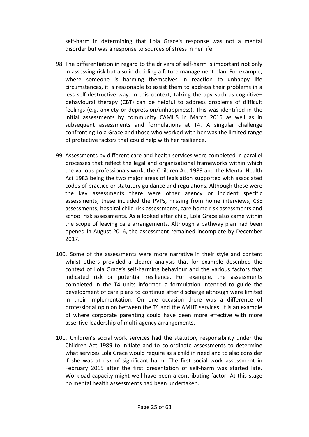self-harm in determining that Lola Grace's response was not a mental disorder but was a response to sources of stress in her life.

- 98. The differentiation in regard to the drivers of self-harm is important not only in assessing risk but also in deciding a future management plan. For example, where someone is harming themselves in reaction to unhappy life circumstances, it is reasonable to assist them to address their problems in a less self-destructive way. In this context, talking therapy such as cognitive– behavioural therapy (CBT) can be helpful to address problems of difficult feelings (e.g. anxiety or depression/unhappiness). This was identified in the initial assessments by community CAMHS in March 2015 as well as in subsequent assessments and formulations at T4. A singular challenge confronting Lola Grace and those who worked with her was the limited range of protective factors that could help with her resilience.
- 99. Assessments by different care and health services were completed in parallel processes that reflect the legal and organisational frameworks within which the various professionals work; the Children Act 1989 and the Mental Health Act 1983 being the two major areas of legislation supported with associated codes of practice or statutory guidance and regulations. Although these were the key assessments there were other agency or incident specific assessments; these included the PVPs, missing from home interviews, CSE assessments, hospital child risk assessments, care home risk assessments and school risk assessments. As a looked after child, Lola Grace also came within the scope of leaving care arrangements. Although a pathway plan had been opened in August 2016, the assessment remained incomplete by December 2017.
- 100. Some of the assessments were more narrative in their style and content whilst others provided a clearer analysis that for example described the context of Lola Grace's self-harming behaviour and the various factors that indicated risk or potential resilience. For example, the assessments completed in the T4 units informed a formulation intended to guide the development of care plans to continue after discharge although were limited in their implementation. On one occasion there was a difference of professional opinion between the T4 and the AMHT services. It is an example of where corporate parenting could have been more effective with more assertive leadership of multi-agency arrangements.
- 101. Children's social work services had the statutory responsibility under the Children Act 1989 to initiate and to co-ordinate assessments to determine what services Lola Grace would require as a child in need and to also consider if she was at risk of significant harm. The first social work assessment in February 2015 after the first presentation of self-harm was started late. Workload capacity might well have been a contributing factor. At this stage no mental health assessments had been undertaken.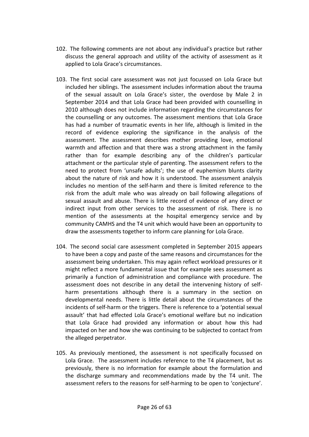- 102. The following comments are not about any individual's practice but rather discuss the general approach and utility of the activity of assessment as it applied to Lola Grace's circumstances.
- 103. The first social care assessment was not just focussed on Lola Grace but included her siblings. The assessment includes information about the trauma of the sexual assault on Lola Grace's sister, the overdose by Male 2 in September 2014 and that Lola Grace had been provided with counselling in 2010 although does not include information regarding the circumstances for the counselling or any outcomes. The assessment mentions that Lola Grace has had a number of traumatic events in her life, although is limited in the record of evidence exploring the significance in the analysis of the assessment. The assessment describes mother providing love, emotional warmth and affection and that there was a strong attachment in the family rather than for example describing any of the children's particular attachment or the particular style of parenting. The assessment refers to the need to protect from 'unsafe adults'; the use of euphemism blunts clarity about the nature of risk and how it is understood. The assessment analysis includes no mention of the self-harm and there is limited reference to the risk from the adult male who was already on bail following allegations of sexual assault and abuse. There is little record of evidence of any direct or indirect input from other services to the assessment of risk. There is no mention of the assessments at the hospital emergency service and by community CAMHS and the T4 unit which would have been an opportunity to draw the assessments together to inform care planning for Lola Grace.
- 104. The second social care assessment completed in September 2015 appears to have been a copy and paste of the same reasons and circumstances for the assessment being undertaken. This may again reflect workload pressures or it might reflect a more fundamental issue that for example sees assessment as primarily a function of administration and compliance with procedure. The assessment does not describe in any detail the intervening history of selfharm presentations although there is a summary in the section on developmental needs. There is little detail about the circumstances of the incidents of self-harm or the triggers. There is reference to a 'potential sexual assault' that had effected Lola Grace's emotional welfare but no indication that Lola Grace had provided any information or about how this had impacted on her and how she was continuing to be subjected to contact from the alleged perpetrator.
- 105. As previously mentioned, the assessment is not specifically focussed on Lola Grace. The assessment includes reference to the T4 placement, but as previously, there is no information for example about the formulation and the discharge summary and recommendations made by the T4 unit. The assessment refers to the reasons for self-harming to be open to 'conjecture'.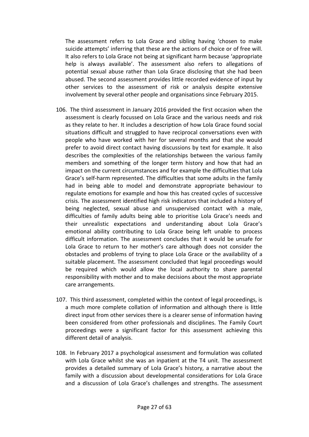The assessment refers to Lola Grace and sibling having 'chosen to make suicide attempts' inferring that these are the actions of choice or of free will. It also refers to Lola Grace not being at significant harm because 'appropriate help is always available'. The assessment also refers to allegations of potential sexual abuse rather than Lola Grace disclosing that she had been abused. The second assessment provides little recorded evidence of input by other services to the assessment of risk or analysis despite extensive involvement by several other people and organisations since February 2015.

- 106. The third assessment in January 2016 provided the first occasion when the assessment is clearly focussed on Lola Grace and the various needs and risk as they relate to her. It includes a description of how Lola Grace found social situations difficult and struggled to have reciprocal conversations even with people who have worked with her for several months and that she would prefer to avoid direct contact having discussions by text for example. It also describes the complexities of the relationships between the various family members and something of the longer term history and how that had an impact on the current circumstances and for example the difficulties that Lola Grace's self-harm represented. The difficulties that some adults in the family had in being able to model and demonstrate appropriate behaviour to regulate emotions for example and how this has created cycles of successive crisis. The assessment identified high risk indicators that included a history of being neglected, sexual abuse and unsupervised contact with a male, difficulties of family adults being able to prioritise Lola Grace's needs and their unrealistic expectations and understanding about Lola Grace's emotional ability contributing to Lola Grace being left unable to process difficult information. The assessment concludes that it would be unsafe for Lola Grace to return to her mother's care although does not consider the obstacles and problems of trying to place Lola Grace or the availability of a suitable placement. The assessment concluded that legal proceedings would be required which would allow the local authority to share parental responsibility with mother and to make decisions about the most appropriate care arrangements.
- 107. This third assessment, completed within the context of legal proceedings, is a much more complete collation of information and although there is little direct input from other services there is a clearer sense of information having been considered from other professionals and disciplines. The Family Court proceedings were a significant factor for this assessment achieving this different detail of analysis.
- 108. In February 2017 a psychological assessment and formulation was collated with Lola Grace whilst she was an inpatient at the T4 unit. The assessment provides a detailed summary of Lola Grace's history, a narrative about the family with a discussion about developmental considerations for Lola Grace and a discussion of Lola Grace's challenges and strengths. The assessment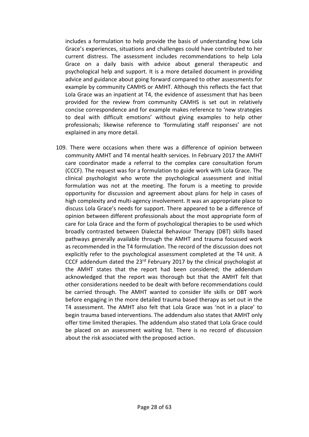includes a formulation to help provide the basis of understanding how Lola Grace's experiences, situations and challenges could have contributed to her current distress. The assessment includes recommendations to help Lola Grace on a daily basis with advice about general therapeutic and psychological help and support. It is a more detailed document in providing advice and guidance about going forward compared to other assessments for example by community CAMHS or AMHT. Although this reflects the fact that Lola Grace was an inpatient at T4, the evidence of assessment that has been provided for the review from community CAMHS is set out in relatively concise correspondence and for example makes reference to 'new strategies to deal with difficult emotions' without giving examples to help other professionals; likewise reference to 'formulating staff responses' are not explained in any more detail.

109. There were occasions when there was a difference of opinion between community AMHT and T4 mental health services. In February 2017 the AMHT care coordinator made a referral to the complex care consultation forum (CCCF). The request was for a formulation to guide work with Lola Grace. The clinical psychologist who wrote the psychological assessment and initial formulation was not at the meeting. The forum is a meeting to provide opportunity for discussion and agreement about plans for help in cases of high complexity and multi-agency involvement. It was an appropriate place to discuss Lola Grace's needs for support. There appeared to be a difference of opinion between different professionals about the most appropriate form of care for Lola Grace and the form of psychological therapies to be used which broadly contrasted between Dialectal Behaviour Therapy (DBT) skills based pathways generally available through the AMHT and trauma focussed work as recommended in the T4 formulation. The record of the discussion does not explicitly refer to the psychological assessment completed at the T4 unit. A CCCF addendum dated the 23rd February 2017 by the clinical psychologist at the AMHT states that the report had been considered; the addendum acknowledged that the report was thorough but that the AMHT felt that other considerations needed to be dealt with before recommendations could be carried through. The AMHT wanted to consider life skills or DBT work before engaging in the more detailed trauma based therapy as set out in the T4 assessment. The AMHT also felt that Lola Grace was 'not in a place' to begin trauma based interventions. The addendum also states that AMHT only offer time limited therapies. The addendum also stated that Lola Grace could be placed on an assessment waiting list. There is no record of discussion about the risk associated with the proposed action.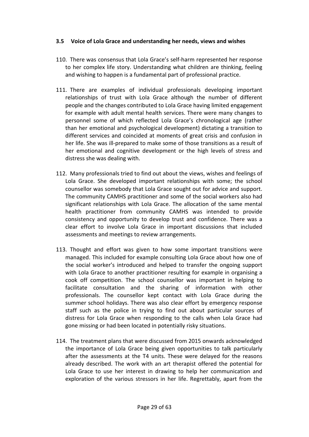#### <span id="page-28-0"></span>**3.5 Voice of Lola Grace and understanding her needs, views and wishes**

- 110. There was consensus that Lola Grace's self-harm represented her response to her complex life story. Understanding what children are thinking, feeling and wishing to happen is a fundamental part of professional practice.
- 111. There are examples of individual professionals developing important relationships of trust with Lola Grace although the number of different people and the changes contributed to Lola Grace having limited engagement for example with adult mental health services. There were many changes to personnel some of which reflected Lola Grace's chronological age (rather than her emotional and psychological development) dictating a transition to different services and coincided at moments of great crisis and confusion in her life. She was ill-prepared to make some of those transitions as a result of her emotional and cognitive development or the high levels of stress and distress she was dealing with.
- 112. Many professionals tried to find out about the views, wishes and feelings of Lola Grace. She developed important relationships with some; the school counsellor was somebody that Lola Grace sought out for advice and support. The community CAMHS practitioner and some of the social workers also had significant relationships with Lola Grace. The allocation of the same mental health practitioner from community CAMHS was intended to provide consistency and opportunity to develop trust and confidence. There was a clear effort to involve Lola Grace in important discussions that included assessments and meetings to review arrangements.
- 113. Thought and effort was given to how some important transitions were managed. This included for example consulting Lola Grace about how one of the social worker's introduced and helped to transfer the ongoing support with Lola Grace to another practitioner resulting for example in organising a cook off competition. The school counsellor was important in helping to facilitate consultation and the sharing of information with other professionals. The counsellor kept contact with Lola Grace during the summer school holidays. There was also clear effort by emergency response staff such as the police in trying to find out about particular sources of distress for Lola Grace when responding to the calls when Lola Grace had gone missing or had been located in potentially risky situations.
- 114. The treatment plans that were discussed from 2015 onwards acknowledged the importance of Lola Grace being given opportunities to talk particularly after the assessments at the T4 units. These were delayed for the reasons already described. The work with an art therapist offered the potential for Lola Grace to use her interest in drawing to help her communication and exploration of the various stressors in her life. Regrettably, apart from the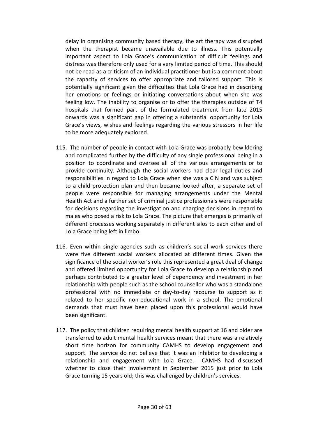delay in organising community based therapy, the art therapy was disrupted when the therapist became unavailable due to illness. This potentially important aspect to Lola Grace's communication of difficult feelings and distress was therefore only used for a very limited period of time. This should not be read as a criticism of an individual practitioner but is a comment about the capacity of services to offer appropriate and tailored support. This is potentially significant given the difficulties that Lola Grace had in describing her emotions or feelings or initiating conversations about when she was feeling low. The inability to organise or to offer the therapies outside of T4 hospitals that formed part of the formulated treatment from late 2015 onwards was a significant gap in offering a substantial opportunity for Lola Grace's views, wishes and feelings regarding the various stressors in her life to be more adequately explored.

- 115. The number of people in contact with Lola Grace was probably bewildering and complicated further by the difficulty of any single professional being in a position to coordinate and oversee all of the various arrangements or to provide continuity. Although the social workers had clear legal duties and responsibilities in regard to Lola Grace when she was a CIN and was subject to a child protection plan and then became looked after, a separate set of people were responsible for managing arrangements under the Mental Health Act and a further set of criminal justice professionals were responsible for decisions regarding the investigation and charging decisions in regard to males who posed a risk to Lola Grace. The picture that emerges is primarily of different processes working separately in different silos to each other and of Lola Grace being left in limbo.
- 116. Even within single agencies such as children's social work services there were five different social workers allocated at different times. Given the significance of the social worker's role this represented a great deal of change and offered limited opportunity for Lola Grace to develop a relationship and perhaps contributed to a greater level of dependency and investment in her relationship with people such as the school counsellor who was a standalone professional with no immediate or day-to-day recourse to support as it related to her specific non-educational work in a school. The emotional demands that must have been placed upon this professional would have been significant.
- 117. The policy that children requiring mental health support at 16 and older are transferred to adult mental health services meant that there was a relatively short time horizon for community CAMHS to develop engagement and support. The service do not believe that it was an inhibitor to developing a relationship and engagement with Lola Grace. CAMHS had discussed whether to close their involvement in September 2015 just prior to Lola Grace turning 15 years old; this was challenged by children's services.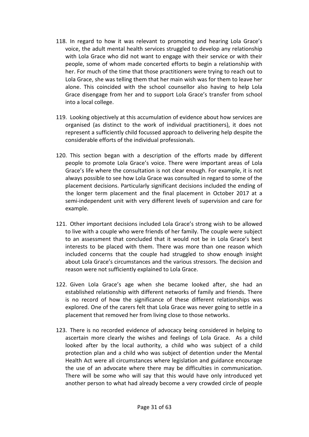- 118. In regard to how it was relevant to promoting and hearing Lola Grace's voice, the adult mental health services struggled to develop any relationship with Lola Grace who did not want to engage with their service or with their people, some of whom made concerted efforts to begin a relationship with her. For much of the time that those practitioners were trying to reach out to Lola Grace, she was telling them that her main wish was for them to leave her alone. This coincided with the school counsellor also having to help Lola Grace disengage from her and to support Lola Grace's transfer from school into a local college.
- 119. Looking objectively at this accumulation of evidence about how services are organised (as distinct to the work of individual practitioners), it does not represent a sufficiently child focussed approach to delivering help despite the considerable efforts of the individual professionals.
- 120. This section began with a description of the efforts made by different people to promote Lola Grace's voice. There were important areas of Lola Grace's life where the consultation is not clear enough. For example, it is not always possible to see how Lola Grace was consulted in regard to some of the placement decisions. Particularly significant decisions included the ending of the longer term placement and the final placement in October 2017 at a semi-independent unit with very different levels of supervision and care for example.
- 121. Other important decisions included Lola Grace's strong wish to be allowed to live with a couple who were friends of her family. The couple were subject to an assessment that concluded that it would not be in Lola Grace's best interests to be placed with them. There was more than one reason which included concerns that the couple had struggled to show enough insight about Lola Grace's circumstances and the various stressors. The decision and reason were not sufficiently explained to Lola Grace.
- 122. Given Lola Grace's age when she became looked after, she had an established relationship with different networks of family and friends. There is no record of how the significance of these different relationships was explored. One of the carers felt that Lola Grace was never going to settle in a placement that removed her from living close to those networks.
- 123. There is no recorded evidence of advocacy being considered in helping to ascertain more clearly the wishes and feelings of Lola Grace. As a child looked after by the local authority, a child who was subject of a child protection plan and a child who was subject of detention under the Mental Health Act were all circumstances where legislation and guidance encourage the use of an advocate where there may be difficulties in communication. There will be some who will say that this would have only introduced yet another person to what had already become a very crowded circle of people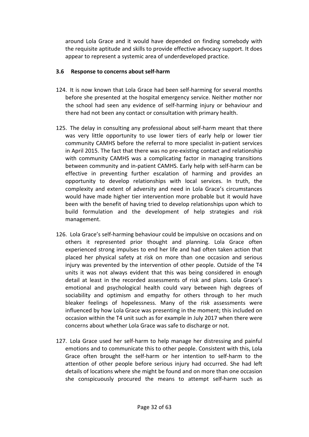around Lola Grace and it would have depended on finding somebody with the requisite aptitude and skills to provide effective advocacy support. It does appear to represent a systemic area of underdeveloped practice.

# <span id="page-31-0"></span>**3.6 Response to concerns about self-harm**

- 124. It is now known that Lola Grace had been self-harming for several months before she presented at the hospital emergency service. Neither mother nor the school had seen any evidence of self-harming injury or behaviour and there had not been any contact or consultation with primary health.
- 125. The delay in consulting any professional about self-harm meant that there was very little opportunity to use lower tiers of early help or lower tier community CAMHS before the referral to more specialist in-patient services in April 2015. The fact that there was no pre-existing contact and relationship with community CAMHS was a complicating factor in managing transitions between community and in-patient CAMHS. Early help with self-harm can be effective in preventing further escalation of harming and provides an opportunity to develop relationships with local services. In truth, the complexity and extent of adversity and need in Lola Grace's circumstances would have made higher tier intervention more probable but it would have been with the benefit of having tried to develop relationships upon which to build formulation and the development of help strategies and risk management.
- 126. Lola Grace's self-harming behaviour could be impulsive on occasions and on others it represented prior thought and planning. Lola Grace often experienced strong impulses to end her life and had often taken action that placed her physical safety at risk on more than one occasion and serious injury was prevented by the intervention of other people. Outside of the T4 units it was not always evident that this was being considered in enough detail at least in the recorded assessments of risk and plans. Lola Grace's emotional and psychological health could vary between high degrees of sociability and optimism and empathy for others through to her much bleaker feelings of hopelessness. Many of the risk assessments were influenced by how Lola Grace was presenting in the moment; this included on occasion within the T4 unit such as for example in July 2017 when there were concerns about whether Lola Grace was safe to discharge or not.
- 127. Lola Grace used her self-harm to help manage her distressing and painful emotions and to communicate this to other people. Consistent with this, Lola Grace often brought the self-harm or her intention to self-harm to the attention of other people before serious injury had occurred. She had left details of locations where she might be found and on more than one occasion she conspicuously procured the means to attempt self-harm such as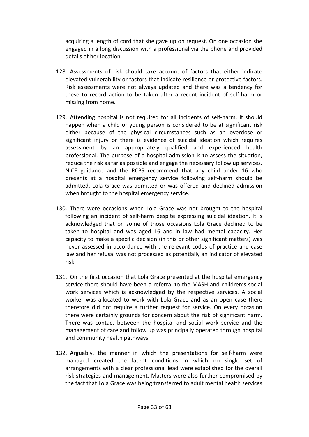acquiring a length of cord that she gave up on request. On one occasion she engaged in a long discussion with a professional via the phone and provided details of her location.

- 128. Assessments of risk should take account of factors that either indicate elevated vulnerability or factors that indicate resilience or protective factors. Risk assessments were not always updated and there was a tendency for these to record action to be taken after a recent incident of self-harm or missing from home.
- 129. Attending hospital is not required for all incidents of self-harm. It should happen when a child or young person is considered to be at significant risk either because of the physical circumstances such as an overdose or significant injury or there is evidence of suicidal ideation which requires assessment by an appropriately qualified and experienced health professional. The purpose of a hospital admission is to assess the situation, reduce the risk as far as possible and engage the necessary follow up services. NICE guidance and the RCPS recommend that any child under 16 who presents at a hospital emergency service following self-harm should be admitted. Lola Grace was admitted or was offered and declined admission when brought to the hospital emergency service.
- 130. There were occasions when Lola Grace was not brought to the hospital following an incident of self-harm despite expressing suicidal ideation. It is acknowledged that on some of those occasions Lola Grace declined to be taken to hospital and was aged 16 and in law had mental capacity. Her capacity to make a specific decision (in this or other significant matters) was never assessed in accordance with the relevant codes of practice and case law and her refusal was not processed as potentially an indicator of elevated risk.
- 131. On the first occasion that Lola Grace presented at the hospital emergency service there should have been a referral to the MASH and children's social work services which is acknowledged by the respective services. A social worker was allocated to work with Lola Grace and as an open case there therefore did not require a further request for service. On every occasion there were certainly grounds for concern about the risk of significant harm. There was contact between the hospital and social work service and the management of care and follow up was principally operated through hospital and community health pathways.
- 132. Arguably, the manner in which the presentations for self-harm were managed created the latent conditions in which no single set of arrangements with a clear professional lead were established for the overall risk strategies and management. Matters were also further compromised by the fact that Lola Grace was being transferred to adult mental health services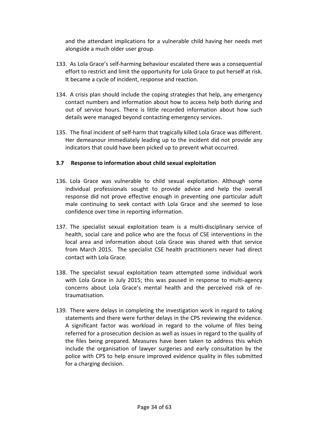and the attendant implications for a vulnerable child having her needs met alongside a much older user group.

- 133. As Lola Grace's self-harming behaviour escalated there was a consequential effort to restrict and limit the opportunity for Lola Grace to put herself at risk. It became a cycle of incident, response and reaction.
- 134. A crisis plan should include the coping strategies that help, any emergency contact numbers and information about how to access help both during and out of service hours. There is little recorded information about how such details were managed beyond contacting emergency services.
- 135. The final incident of self-harm that tragically killed Lola Grace was different. Her demeanour immediately leading up to the incident did not provide any indicators that could have been picked up to prevent what occurred.

#### <span id="page-33-0"></span>**3.7 Response to information about child sexual exploitation**

- 136. Lola Grace was vulnerable to child sexual exploitation. Although some individual professionals sought to provide advice and help the overall response did not prove effective enough in preventing one particular adult male continuing to seek contact with Lola Grace and she seemed to lose confidence over time in reporting information.
- 137. The specialist sexual exploitation team is a multi-disciplinary service of health, social care and police who are the focus of CSE interventions in the local area and information about Lola Grace was shared with that service from March 2015. The specialist CSE health practitioners never had direct contact with Lola Grace.
- 138. The specialist sexual exploitation team attempted some individual work with Lola Grace in July 2015; this was paused in response to multi-agency concerns about Lola Grace's mental health and the perceived risk of retraumatisation.
- 139. There were delays in completing the investigation work in regard to taking statements and there were further delays in the CPS reviewing the evidence. A significant factor was workload in regard to the volume of files being referred for a prosecution decision as well as issues in regard to the quality of the files being prepared. Measures have been taken to address this which include the organisation of lawyer surgeries and early consultation by the police with CPS to help ensure improved evidence quality in files submitted for a charging decision.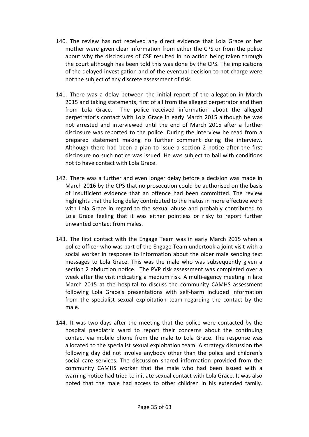- 140. The review has not received any direct evidence that Lola Grace or her mother were given clear information from either the CPS or from the police about why the disclosures of CSE resulted in no action being taken through the court although has been told this was done by the CPS. The implications of the delayed investigation and of the eventual decision to not charge were not the subject of any discrete assessment of risk.
- 141. There was a delay between the initial report of the allegation in March 2015 and taking statements, first of all from the alleged perpetrator and then from Lola Grace. The police received information about the alleged perpetrator's contact with Lola Grace in early March 2015 although he was not arrested and interviewed until the end of March 2015 after a further disclosure was reported to the police. During the interview he read from a prepared statement making no further comment during the interview. Although there had been a plan to issue a section 2 notice after the first disclosure no such notice was issued. He was subject to bail with conditions not to have contact with Lola Grace.
- 142. There was a further and even longer delay before a decision was made in March 2016 by the CPS that no prosecution could be authorised on the basis of insufficient evidence that an offence had been committed. The review highlights that the long delay contributed to the hiatus in more effective work with Lola Grace in regard to the sexual abuse and probably contributed to Lola Grace feeling that it was either pointless or risky to report further unwanted contact from males.
- 143. The first contact with the Engage Team was in early March 2015 when a police officer who was part of the Engage Team undertook a joint visit with a social worker in response to information about the older male sending text messages to Lola Grace. This was the male who was subsequently given a section 2 abduction notice. The PVP risk assessment was completed over a week after the visit indicating a medium risk. A multi-agency meeting in late March 2015 at the hospital to discuss the community CAMHS assessment following Lola Grace's presentations with self-harm included information from the specialist sexual exploitation team regarding the contact by the male.
- 144. It was two days after the meeting that the police were contacted by the hospital paediatric ward to report their concerns about the continuing contact via mobile phone from the male to Lola Grace. The response was allocated to the specialist sexual exploitation team. A strategy discussion the following day did not involve anybody other than the police and children's social care services. The discussion shared information provided from the community CAMHS worker that the male who had been issued with a warning notice had tried to initiate sexual contact with Lola Grace. It was also noted that the male had access to other children in his extended family.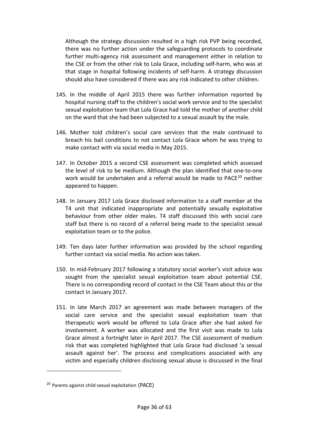Although the strategy discussion resulted in a high risk PVP being recorded, there was no further action under the safeguarding protocols to coordinate further multi-agency risk assessment and management either in relation to the CSE or from the other risk to Lola Grace, including self-harm, who was at that stage in hospital following incidents of self-harm. A strategy discussion should also have considered if there was any risk indicated to other children.

- 145. In the middle of April 2015 there was further information reported by hospital nursing staff to the children's social work service and to the specialist sexual exploitation team that Lola Grace had told the mother of another child on the ward that she had been subjected to a sexual assault by the male.
- 146. Mother told children's social care services that the male continued to breach his bail conditions to not contact Lola Grace whom he was trying to make contact with via social media in May 2015.
- 147. In October 2015 a second CSE assessment was completed which assessed the level of risk to be medium. Although the plan identified that one-to-one work would be undertaken and a referral would be made to PACE<sup>[20](#page-35-0)</sup> neither appeared to happen.
- 148. In January 2017 Lola Grace disclosed information to a staff member at the T4 unit that indicated inappropriate and potentially sexually exploitative behaviour from other older males. T4 staff discussed this with social care staff but there is no record of a referral being made to the specialist sexual exploitation team or to the police.
- 149. Ten days later further information was provided by the school regarding further contact via social media. No action was taken.
- 150. In mid-February 2017 following a statutory social worker's visit advice was sought from the specialist sexual exploitation team about potential CSE. There is no corresponding record of contact in the CSE Team about this or the contact in January 2017.
- 151. In late March 2017 an agreement was made between managers of the social care service and the specialist sexual exploitation team that therapeutic work would be offered to Lola Grace after she had asked for involvement. A worker was allocated and the first visit was made to Lola Grace almost a fortnight later in April 2017. The CSE assessment of medium risk that was completed highlighted that Lola Grace had disclosed 'a sexual assault against her'. The process and complications associated with any victim and especially children disclosing sexual abuse is discussed in the final

<span id="page-35-0"></span><sup>&</sup>lt;sup>20</sup> Parents against child sexual exploitation (PACE)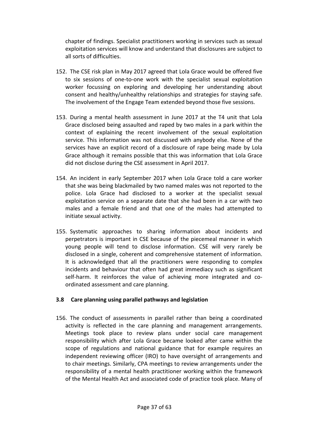chapter of findings. Specialist practitioners working in services such as sexual exploitation services will know and understand that disclosures are subject to all sorts of difficulties.

- 152. The CSE risk plan in May 2017 agreed that Lola Grace would be offered five to six sessions of one-to-one work with the specialist sexual exploitation worker focussing on exploring and developing her understanding about consent and healthy/unhealthy relationships and strategies for staying safe. The involvement of the Engage Team extended beyond those five sessions.
- 153. During a mental health assessment in June 2017 at the T4 unit that Lola Grace disclosed being assaulted and raped by two males in a park within the context of explaining the recent involvement of the sexual exploitation service. This information was not discussed with anybody else. None of the services have an explicit record of a disclosure of rape being made by Lola Grace although it remains possible that this was information that Lola Grace did not disclose during the CSE assessment in April 2017.
- 154. An incident in early September 2017 when Lola Grace told a care worker that she was being blackmailed by two named males was not reported to the police. Lola Grace had disclosed to a worker at the specialist sexual exploitation service on a separate date that she had been in a car with two males and a female friend and that one of the males had attempted to initiate sexual activity.
- 155. Systematic approaches to sharing information about incidents and perpetrators is important in CSE because of the piecemeal manner in which young people will tend to disclose information. CSE will very rarely be disclosed in a single, coherent and comprehensive statement of information. It is acknowledged that all the practitioners were responding to complex incidents and behaviour that often had great immediacy such as significant self-harm. It reinforces the value of achieving more integrated and coordinated assessment and care planning.

#### <span id="page-36-0"></span>**3.8 Care planning using parallel pathways and legislation**

156. The conduct of assessments in parallel rather than being a coordinated activity is reflected in the care planning and management arrangements. Meetings took place to review plans under social care management responsibility which after Lola Grace became looked after came within the scope of regulations and national guidance that for example requires an independent reviewing officer (IRO) to have oversight of arrangements and to chair meetings. Similarly, CPA meetings to review arrangements under the responsibility of a mental health practitioner working within the framework of the Mental Health Act and associated code of practice took place. Many of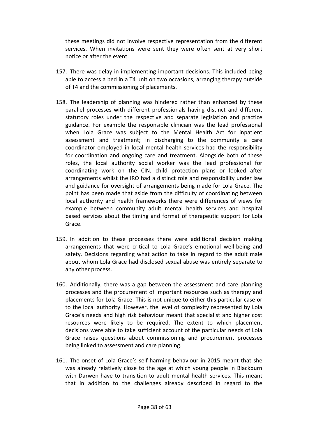these meetings did not involve respective representation from the different services. When invitations were sent they were often sent at very short notice or after the event.

- 157. There was delay in implementing important decisions. This included being able to access a bed in a T4 unit on two occasions, arranging therapy outside of T4 and the commissioning of placements.
- 158. The leadership of planning was hindered rather than enhanced by these parallel processes with different professionals having distinct and different statutory roles under the respective and separate legislation and practice guidance. For example the responsible clinician was the lead professional when Lola Grace was subject to the Mental Health Act for inpatient assessment and treatment; in discharging to the community a care coordinator employed in local mental health services had the responsibility for coordination and ongoing care and treatment. Alongside both of these roles, the local authority social worker was the lead professional for coordinating work on the CIN, child protection plans or looked after arrangements whilst the IRO had a distinct role and responsibility under law and guidance for oversight of arrangements being made for Lola Grace. The point has been made that aside from the difficulty of coordinating between local authority and health frameworks there were differences of views for example between community adult mental health services and hospital based services about the timing and format of therapeutic support for Lola Grace.
- 159. In addition to these processes there were additional decision making arrangements that were critical to Lola Grace's emotional well-being and safety. Decisions regarding what action to take in regard to the adult male about whom Lola Grace had disclosed sexual abuse was entirely separate to any other process.
- 160. Additionally, there was a gap between the assessment and care planning processes and the procurement of important resources such as therapy and placements for Lola Grace. This is not unique to either this particular case or to the local authority. However, the level of complexity represented by Lola Grace's needs and high risk behaviour meant that specialist and higher cost resources were likely to be required. The extent to which placement decisions were able to take sufficient account of the particular needs of Lola Grace raises questions about commissioning and procurement processes being linked to assessment and care planning.
- 161. The onset of Lola Grace's self-harming behaviour in 2015 meant that she was already relatively close to the age at which young people in Blackburn with Darwen have to transition to adult mental health services. This meant that in addition to the challenges already described in regard to the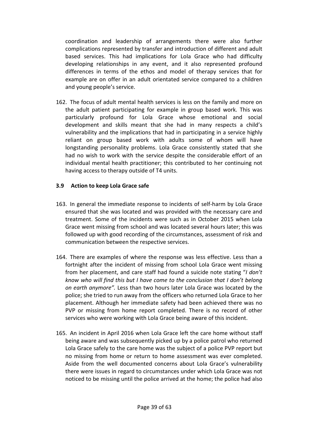coordination and leadership of arrangements there were also further complications represented by transfer and introduction of different and adult based services. This had implications for Lola Grace who had difficulty developing relationships in any event, and it also represented profound differences in terms of the ethos and model of therapy services that for example are on offer in an adult orientated service compared to a children and young people's service.

162. The focus of adult mental health services is less on the family and more on the adult patient participating for example in group based work. This was particularly profound for Lola Grace whose emotional and social development and skills meant that she had in many respects a child's vulnerability and the implications that had in participating in a service highly reliant on group based work with adults some of whom will have longstanding personality problems. Lola Grace consistently stated that she had no wish to work with the service despite the considerable effort of an individual mental health practitioner; this contributed to her continuing not having access to therapy outside of T4 units.

#### <span id="page-38-0"></span>**3.9 Action to keep Lola Grace safe**

- 163. In general the immediate response to incidents of self-harm by Lola Grace ensured that she was located and was provided with the necessary care and treatment. Some of the incidents were such as in October 2015 when Lola Grace went missing from school and was located several hours later; this was followed up with good recording of the circumstances, assessment of risk and communication between the respective services.
- 164. There are examples of where the response was less effective. Less than a fortnight after the incident of missing from school Lola Grace went missing from her placement, and care staff had found a suicide note stating "*I don't know who will find this but I have come to the conclusion that I don't belong on earth anymore".* Less than two hours later Lola Grace was located by the police; she tried to run away from the officers who returned Lola Grace to her placement. Although her immediate safety had been achieved there was no PVP or missing from home report completed. There is no record of other services who were working with Lola Grace being aware of this incident.
- 165. An incident in April 2016 when Lola Grace left the care home without staff being aware and was subsequently picked up by a police patrol who returned Lola Grace safely to the care home was the subject of a police PVP report but no missing from home or return to home assessment was ever completed. Aside from the well documented concerns about Lola Grace's vulnerability there were issues in regard to circumstances under which Lola Grace was not noticed to be missing until the police arrived at the home; the police had also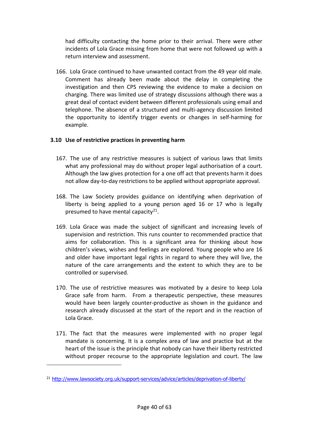had difficulty contacting the home prior to their arrival. There were other incidents of Lola Grace missing from home that were not followed up with a return interview and assessment.

166. Lola Grace continued to have unwanted contact from the 49 year old male. Comment has already been made about the delay in completing the investigation and then CPS reviewing the evidence to make a decision on charging. There was limited use of strategy discussions although there was a great deal of contact evident between different professionals using email and telephone. The absence of a structured and multi-agency discussion limited the opportunity to identify trigger events or changes in self-harming for example.

# <span id="page-39-0"></span>**3.10 Use of restrictive practices in preventing harm**

- 167. The use of any restrictive measures is subject of various laws that limits what any professional may do without proper legal authorisation of a court. Although the law gives protection for a one off act that prevents harm it does not allow day-to-day restrictions to be applied without appropriate approval.
- 168. The Law Society provides guidance on identifying when deprivation of liberty is being applied to a young person aged 16 or 17 who is legally presumed to have mental capacity $21$ .
- 169. Lola Grace was made the subject of significant and increasing levels of supervision and restriction. This runs counter to recommended practice that aims for collaboration. This is a significant area for thinking about how children's views, wishes and feelings are explored. Young people who are 16 and older have important legal rights in regard to where they will live, the nature of the care arrangements and the extent to which they are to be controlled or supervised.
- 170. The use of restrictive measures was motivated by a desire to keep Lola Grace safe from harm. From a therapeutic perspective, these measures would have been largely counter-productive as shown in the guidance and research already discussed at the start of the report and in the reaction of Lola Grace.
- 171. The fact that the measures were implemented with no proper legal mandate is concerning. It is a complex area of law and practice but at the heart of the issue is the principle that nobody can have their liberty restricted without proper recourse to the appropriate legislation and court. The law

<span id="page-39-1"></span><sup>&</sup>lt;sup>21</sup> <http://www.lawsociety.org.uk/support-services/advice/articles/deprivation-of-liberty/>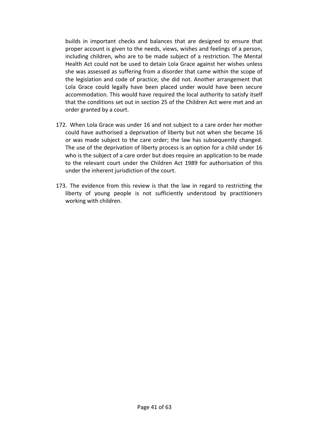builds in important checks and balances that are designed to ensure that proper account is given to the needs, views, wishes and feelings of a person, including children, who are to be made subject of a restriction. The Mental Health Act could not be used to detain Lola Grace against her wishes unless she was assessed as suffering from a disorder that came within the scope of the legislation and code of practice; she did not. Another arrangement that Lola Grace could legally have been placed under would have been secure accommodation. This would have required the local authority to satisfy itself that the conditions set out in section 25 of the Children Act were met and an order granted by a court.

- 172. When Lola Grace was under 16 and not subject to a care order her mother could have authorised a deprivation of liberty but not when she became 16 or was made subject to the care order; the law has subsequently changed. The use of the deprivation of liberty process is an option for a child under 16 who is the subject of a care order but does require an application to be made to the relevant court under the Children Act 1989 for authorisation of this under the inherent jurisdiction of the court.
- 173. The evidence from this review is that the law in regard to restricting the liberty of young people is not sufficiently understood by practitioners working with children.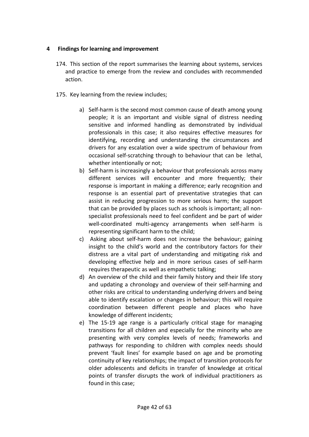#### <span id="page-41-0"></span>**4 Findings for learning and improvement**

- 174. This section of the report summarises the learning about systems, services and practice to emerge from the review and concludes with recommended action.
- 175. Key learning from the review includes;
	- a) Self-harm is the second most common cause of death among young people; it is an important and visible signal of distress needing sensitive and informed handling as demonstrated by individual professionals in this case; it also requires effective measures for identifying, recording and understanding the circumstances and drivers for any escalation over a wide spectrum of behaviour from occasional self-scratching through to behaviour that can be lethal, whether intentionally or not:
	- b) Self-harm is increasingly a behaviour that professionals across many different services will encounter and more frequently; their response is important in making a difference; early recognition and response is an essential part of preventative strategies that can assist in reducing progression to more serious harm; the support that can be provided by places such as schools is important; all nonspecialist professionals need to feel confident and be part of wider well-coordinated multi-agency arrangements when self-harm is representing significant harm to the child;
	- c) Asking about self-harm does not increase the behaviour; gaining insight to the child's world and the contributory factors for their distress are a vital part of understanding and mitigating risk and developing effective help and in more serious cases of self-harm requires therapeutic as well as empathetic talking;
	- d) An overview of the child and their family history and their life story and updating a chronology and overview of their self-harming and other risks are critical to understanding underlying drivers and being able to identify escalation or changes in behaviour; this will require coordination between different people and places who have knowledge of different incidents;
	- e) The 15-19 age range is a particularly critical stage for managing transitions for all children and especially for the minority who are presenting with very complex levels of needs; frameworks and pathways for responding to children with complex needs should prevent 'fault lines' for example based on age and be promoting continuity of key relationships; the impact of transition protocols for older adolescents and deficits in transfer of knowledge at critical points of transfer disrupts the work of individual practitioners as found in this case;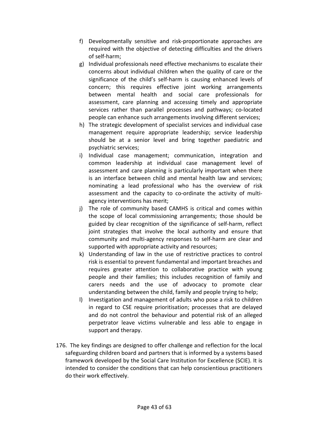- f) Developmentally sensitive and risk-proportionate approaches are required with the objective of detecting difficulties and the drivers of self-harm;
- g) Individual professionals need effective mechanisms to escalate their concerns about individual children when the quality of care or the significance of the child's self-harm is causing enhanced levels of concern; this requires effective joint working arrangements between mental health and social care professionals for assessment, care planning and accessing timely and appropriate services rather than parallel processes and pathways; co-located people can enhance such arrangements involving different services;
- h) The strategic development of specialist services and individual case management require appropriate leadership; service leadership should be at a senior level and bring together paediatric and psychiatric services;
- i) Individual case management; communication, integration and common leadership at individual case management level of assessment and care planning is particularly important when there is an interface between child and mental health law and services; nominating a lead professional who has the overview of risk assessment and the capacity to co-ordinate the activity of multiagency interventions has merit;
- j) The role of community based CAMHS is critical and comes within the scope of local commissioning arrangements; those should be guided by clear recognition of the significance of self-harm, reflect joint strategies that involve the local authority and ensure that community and multi-agency responses to self-harm are clear and supported with appropriate activity and resources;
- k) Understanding of law in the use of restrictive practices to control risk is essential to prevent fundamental and important breaches and requires greater attention to collaborative practice with young people and their families; this includes recognition of family and carers needs and the use of advocacy to promote clear understanding between the child, family and people trying to help;
- l) Investigation and management of adults who pose a risk to children in regard to CSE require prioritisation; processes that are delayed and do not control the behaviour and potential risk of an alleged perpetrator leave victims vulnerable and less able to engage in support and therapy.
- 176. The key findings are designed to offer challenge and reflection for the local safeguarding children board and partners that is informed by a systems based framework developed by the Social Care Institution for Excellence (SCIE). It is intended to consider the conditions that can help conscientious practitioners do their work effectively.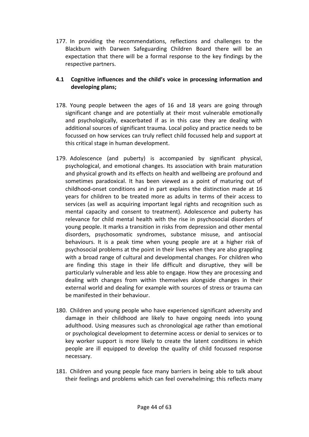177. In providing the recommendations, reflections and challenges to the Blackburn with Darwen Safeguarding Children Board there will be an expectation that there will be a formal response to the key findings by the respective partners.

# <span id="page-43-0"></span>**4.1 Cognitive influences and the child's voice in processing information and developing plans;**

- 178. Young people between the ages of 16 and 18 years are going through significant change and are potentially at their most vulnerable emotionally and psychologically, exacerbated if as in this case they are dealing with additional sources of significant trauma. Local policy and practice needs to be focussed on how services can truly reflect child focussed help and support at this critical stage in human development.
- 179. Adolescence (and puberty) is accompanied by significant physical, psychological, and emotional changes. Its association with brain maturation and physical growth and its effects on health and wellbeing are profound and sometimes paradoxical. It has been viewed as a point of maturing out of childhood-onset conditions and in part explains the distinction made at 16 years for children to be treated more as adults in terms of their access to services (as well as acquiring important legal rights and recognition such as mental capacity and consent to treatment). Adolescence and puberty has relevance for child mental health with the rise in psychosocial disorders of young people. It marks a transition in risks from depression and other mental disorders, psychosomatic syndromes, substance misuse, and antisocial behaviours. It is a peak time when young people are at a higher risk of psychosocial problems at the point in their lives when they are also grappling with a broad range of cultural and developmental changes. For children who are finding this stage in their life difficult and disruptive, they will be particularly vulnerable and less able to engage. How they are processing and dealing with changes from within themselves alongside changes in their external world and dealing for example with sources of stress or trauma can be manifested in their behaviour.
- 180. Children and young people who have experienced significant adversity and damage in their childhood are likely to have ongoing needs into young adulthood. Using measures such as chronological age rather than emotional or psychological development to determine access or denial to services or to key worker support is more likely to create the latent conditions in which people are ill equipped to develop the quality of child focussed response necessary.
- 181. Children and young people face many barriers in being able to talk about their feelings and problems which can feel overwhelming; this reflects many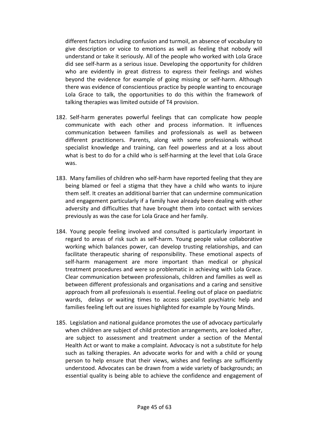different factors including confusion and turmoil, an absence of vocabulary to give description or voice to emotions as well as feeling that nobody will understand or take it seriously. All of the people who worked with Lola Grace did see self-harm as a serious issue. Developing the opportunity for children who are evidently in great distress to express their feelings and wishes beyond the evidence for example of going missing or self-harm. Although there was evidence of conscientious practice by people wanting to encourage Lola Grace to talk, the opportunities to do this within the framework of talking therapies was limited outside of T4 provision.

- 182. Self-harm generates powerful feelings that can complicate how people communicate with each other and process information. It influences communication between families and professionals as well as between different practitioners. Parents, along with some professionals without specialist knowledge and training, can feel powerless and at a loss about what is best to do for a child who is self-harming at the level that Lola Grace was.
- 183. Many families of children who self-harm have reported feeling that they are being blamed or feel a stigma that they have a child who wants to injure them self. It creates an additional barrier that can undermine communication and engagement particularly if a family have already been dealing with other adversity and difficulties that have brought them into contact with services previously as was the case for Lola Grace and her family.
- 184. Young people feeling involved and consulted is particularly important in regard to areas of risk such as self-harm. Young people value collaborative working which balances power, can develop trusting relationships, and can facilitate therapeutic sharing of responsibility. These emotional aspects of self-harm management are more important than medical or physical treatment procedures and were so problematic in achieving with Lola Grace. Clear communication between professionals, children and families as well as between different professionals and organisations and a caring and sensitive approach from all professionals is essential. Feeling out of place on paediatric wards, delays or waiting times to access specialist psychiatric help and families feeling left out are issues highlighted for example by Young Minds.
- 185. Legislation and national guidance promotes the use of advocacy particularly when children are subject of child protection arrangements, are looked after, are subject to assessment and treatment under a section of the Mental Health Act or want to make a complaint. Advocacy is not a substitute for help such as talking therapies. An advocate works for and with a child or young person to help ensure that their views, wishes and feelings are sufficiently understood. Advocates can be drawn from a wide variety of backgrounds; an essential quality is being able to achieve the confidence and engagement of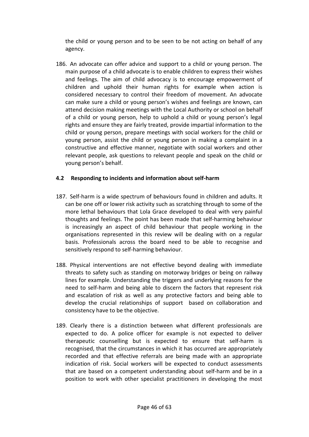the child or young person and to be seen to be not acting on behalf of any agency.

186. An advocate can offer advice and support to a child or young person. The main purpose of a child advocate is to enable children to express their wishes and feelings. The aim of child advocacy is to encourage empowerment of children and uphold their human rights for example when action is considered necessary to control their freedom of movement. An advocate can make sure a child or young person's wishes and feelings are known, can attend decision making meetings with the Local Authority or school on behalf of a child or young person, help to uphold a child or young person's legal rights and ensure they are fairly treated, provide impartial information to the child or young person, prepare meetings with social workers for the child or young person, assist the child or young person in making a complaint in a constructive and effective manner, negotiate with social workers and other relevant people, ask questions to relevant people and speak on the child or young person's behalf.

#### <span id="page-45-0"></span>**4.2 Responding to incidents and information about self-harm**

- 187. Self-harm is a wide spectrum of behaviours found in children and adults. It can be one off or lower risk activity such as scratching through to some of the more lethal behaviours that Lola Grace developed to deal with very painful thoughts and feelings. The point has been made that self-harming behaviour is increasingly an aspect of child behaviour that people working in the organisations represented in this review will be dealing with on a regular basis. Professionals across the board need to be able to recognise and sensitively respond to self-harming behaviour.
- 188. Physical interventions are not effective beyond dealing with immediate threats to safety such as standing on motorway bridges or being on railway lines for example. Understanding the triggers and underlying reasons for the need to self-harm and being able to discern the factors that represent risk and escalation of risk as well as any protective factors and being able to develop the crucial relationships of support based on collaboration and consistency have to be the objective.
- 189. Clearly there is a distinction between what different professionals are expected to do. A police officer for example is not expected to deliver therapeutic counselling but is expected to ensure that self-harm is recognised, that the circumstances in which it has occurred are appropriately recorded and that effective referrals are being made with an appropriate indication of risk. Social workers will be expected to conduct assessments that are based on a competent understanding about self-harm and be in a position to work with other specialist practitioners in developing the most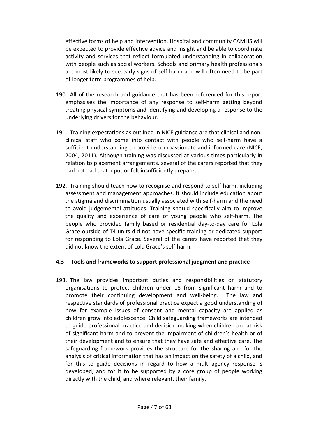effective forms of help and intervention. Hospital and community CAMHS will be expected to provide effective advice and insight and be able to coordinate activity and services that reflect formulated understanding in collaboration with people such as social workers. Schools and primary health professionals are most likely to see early signs of self-harm and will often need to be part of longer term programmes of help.

- 190. All of the research and guidance that has been referenced for this report emphasises the importance of any response to self-harm getting beyond treating physical symptoms and identifying and developing a response to the underlying drivers for the behaviour.
- 191. Training expectations as outlined in NICE guidance are that clinical and nonclinical staff who come into contact with people who self-harm have a sufficient understanding to provide compassionate and informed care (NICE, 2004, 2011). Although training was discussed at various times particularly in relation to placement arrangements, several of the carers reported that they had not had that input or felt insufficiently prepared.
- 192. Training should teach how to recognise and respond to self-harm, including assessment and management approaches. It should include education about the stigma and discrimination usually associated with self-harm and the need to avoid judgemental attitudes. Training should specifically aim to improve the quality and experience of care of young people who self-harm. The people who provided family based or residential day-to-day care for Lola Grace outside of T4 units did not have specific training or dedicated support for responding to Lola Grace. Several of the carers have reported that they did not know the extent of Lola Grace's self-harm.

#### <span id="page-46-0"></span>**4.3 Tools and frameworks to support professional judgment and practice**

193. The law provides important duties and responsibilities on statutory organisations to protect children under 18 from significant harm and to promote their continuing development and well-being. The law and respective standards of professional practice expect a good understanding of how for example issues of consent and mental capacity are applied as children grow into adolescence. Child safeguarding frameworks are intended to guide professional practice and decision making when children are at risk of significant harm and to prevent the impairment of children's health or of their development and to ensure that they have safe and effective care. The safeguarding framework provides the structure for the sharing and for the analysis of critical information that has an impact on the safety of a child, and for this to guide decisions in regard to how a multi-agency response is developed, and for it to be supported by a core group of people working directly with the child, and where relevant, their family.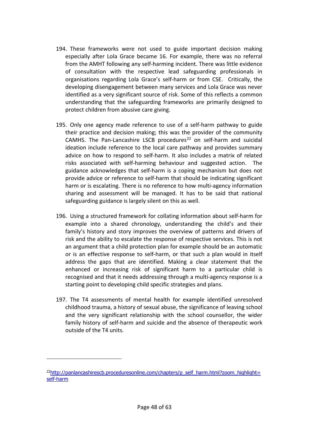- 194. These frameworks were not used to guide important decision making especially after Lola Grace became 16. For example, there was no referral from the AMHT following any self-harming incident. There was little evidence of consultation with the respective lead safeguarding professionals in organisations regarding Lola Grace's self-harm or from CSE. Critically, the developing disengagement between many services and Lola Grace was never identified as a very significant source of risk. Some of this reflects a common understanding that the safeguarding frameworks are primarily designed to protect children from abusive care giving.
- 195. Only one agency made reference to use of a self-harm pathway to guide their practice and decision making; this was the provider of the community CAMHS. The Pan-Lancashire LSCB procedures<sup>[22](#page-47-0)</sup> on self-harm and suicidal ideation include reference to the local care pathway and provides summary advice on how to respond to self-harm. It also includes a matrix of related risks associated with self-harming behaviour and suggested action. The guidance acknowledges that self-harm is a coping mechanism but does not provide advice or reference to self-harm that should be indicating significant harm or is escalating. There is no reference to how multi-agency information sharing and assessment will be managed. It has to be said that national safeguarding guidance is largely silent on this as well.
- 196. Using a structured framework for collating information about self-harm for example into a shared chronology, understanding the child's and their family's history and story improves the overview of patterns and drivers of risk and the ability to escalate the response of respective services. This is not an argument that a child protection plan for example should be an automatic or is an effective response to self-harm, or that such a plan would in itself address the gaps that are identified. Making a clear statement that the enhanced or increasing risk of significant harm to a particular child is recognised and that it needs addressing through a multi-agency response is a starting point to developing child specific strategies and plans.
- 197. The T4 assessments of mental health for example identified unresolved childhood trauma, a history of sexual abuse, the significance of leaving school and the very significant relationship with the school counsellor, the wider family history of self-harm and suicide and the absence of therapeutic work outside of the T4 units.

<span id="page-47-0"></span> $^{22}$ http://panlancashirescb.proceduresonline.com/chapters/p\_self\_harm.html?zoom\_highlight= [self-harm](http://panlancashirescb.proceduresonline.com/chapters/p_self_harm.html?zoom_highlight=self-harm)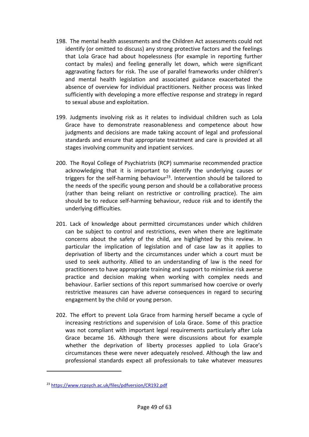- 198. The mental health assessments and the Children Act assessments could not identify (or omitted to discuss) any strong protective factors and the feelings that Lola Grace had about hopelessness (for example in reporting further contact by males) and feeling generally let down, which were significant aggravating factors for risk. The use of parallel frameworks under children's and mental health legislation and associated guidance exacerbated the absence of overview for individual practitioners. Neither process was linked sufficiently with developing a more effective response and strategy in regard to sexual abuse and exploitation.
- 199. Judgments involving risk as it relates to individual children such as Lola Grace have to demonstrate reasonableness and competence about how judgments and decisions are made taking account of legal and professional standards and ensure that appropriate treatment and care is provided at all stages involving community and inpatient services.
- 200. The Royal College of Psychiatrists (RCP) summarise recommended practice acknowledging that it is important to identify the underlying causes or triggers for the self-harming behaviour<sup>23</sup>. Intervention should be tailored to the needs of the specific young person and should be a collaborative process (rather than being reliant on restrictive or controlling practice). The aim should be to reduce self-harming behaviour, reduce risk and to identify the underlying difficulties.
- 201. Lack of knowledge about permitted circumstances under which children can be subject to control and restrictions, even when there are legitimate concerns about the safety of the child, are highlighted by this review. In particular the implication of legislation and of case law as it applies to deprivation of liberty and the circumstances under which a court must be used to seek authority. Allied to an understanding of law is the need for practitioners to have appropriate training and support to minimise risk averse practice and decision making when working with complex needs and behaviour. Earlier sections of this report summarised how coercive or overly restrictive measures can have adverse consequences in regard to securing engagement by the child or young person.
- 202. The effort to prevent Lola Grace from harming herself became a cycle of increasing restrictions and supervision of Lola Grace. Some of this practice was not compliant with important legal requirements particularly after Lola Grace became 16. Although there were discussions about for example whether the deprivation of liberty processes applied to Lola Grace's circumstances these were never adequately resolved. Although the law and professional standards expect all professionals to take whatever measures

<span id="page-48-0"></span><sup>23</sup> <https://www.rcpsych.ac.uk/files/pdfversion/CR192.pdf>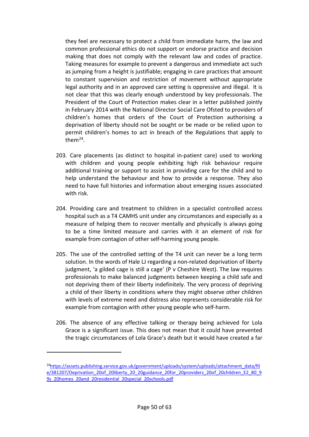they feel are necessary to protect a child from immediate harm, the law and common professional ethics do not support or endorse practice and decision making that does not comply with the relevant law and codes of practice. Taking measures for example to prevent a dangerous and immediate act such as jumping from a height is justifiable; engaging in care practices that amount to constant supervision and restriction of movement without appropriate legal authority and in an approved care setting is oppressive and illegal. It is not clear that this was clearly enough understood by key professionals. The President of the Court of Protection makes clear in a letter published jointly in February 2014 with the National Director Social Care Ofsted to providers of children's homes that orders of the Court of Protection authorising a deprivation of liberty should not be sought or be made or be relied upon to permit children's homes to act in breach of the Regulations that apply to  $then<sup>24</sup>$  $then<sup>24</sup>$  $then<sup>24</sup>$ 

- 203. Care placements (as distinct to hospital in-patient care) used to working with children and young people exhibiting high risk behaviour require additional training or support to assist in providing care for the child and to help understand the behaviour and how to provide a response. They also need to have full histories and information about emerging issues associated with risk.
- 204. Providing care and treatment to children in a specialist controlled access hospital such as a T4 CAMHS unit under any circumstances and especially as a measure of helping them to recover mentally and physically is always going to be a time limited measure and carries with it an element of risk for example from contagion of other self-harming young people.
- 205. The use of the controlled setting of the T4 unit can never be a long term solution. In the words of Hale LJ regarding a non-related deprivation of liberty judgment, 'a gilded cage is still a cage' (P v Cheshire West). The law requires professionals to make balanced judgments between keeping a child safe and not depriving them of their liberty indefinitely. The very process of depriving a child of their liberty in conditions where they might observe other children with levels of extreme need and distress also represents considerable risk for example from contagion with other young people who self-harm.
- 206. The absence of any effective talking or therapy being achieved for Lola Grace is a significant issue. This does not mean that it could have prevented the tragic circumstances of Lola Grace's death but it would have created a far

<span id="page-49-0"></span><sup>&</sup>lt;sup>24</sup>https://assets.publishing.service.gov.uk/government/uploads/system/uploads/attachment\_data/fil [e/381207/Deprivation\\_20of\\_20liberty\\_20\\_20guidance\\_20for\\_20providers\\_20of\\_20children\\_E2\\_80\\_9](https://assets.publishing.service.gov.uk/government/uploads/system/uploads/attachment_data/file/381207/Deprivation_20of_20liberty_20_20guidance_20for_20providers_20of_20children_E2_80_99s_20homes_20and_20residential_20special_20schools.pdf) [9s\\_20homes\\_20and\\_20residential\\_20special\\_20schools.pdf](https://assets.publishing.service.gov.uk/government/uploads/system/uploads/attachment_data/file/381207/Deprivation_20of_20liberty_20_20guidance_20for_20providers_20of_20children_E2_80_99s_20homes_20and_20residential_20special_20schools.pdf)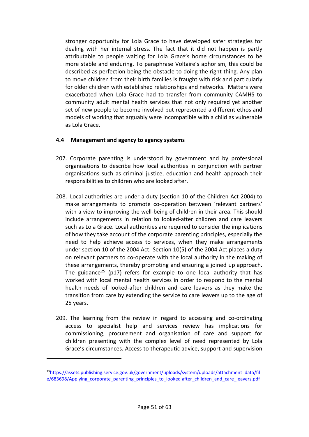stronger opportunity for Lola Grace to have developed safer strategies for dealing with her internal stress. The fact that it did not happen is partly attributable to people waiting for Lola Grace's home circumstances to be more stable and enduring. To paraphrase Voltaire's aphorism, this could be described as perfection being the obstacle to doing the right thing. Any plan to move children from their birth families is fraught with risk and particularly for older children with established relationships and networks. Matters were exacerbated when Lola Grace had to transfer from community CAMHS to community adult mental health services that not only required yet another set of new people to become involved but represented a different ethos and models of working that arguably were incompatible with a child as vulnerable as Lola Grace.

#### <span id="page-50-0"></span>**4.4 Management and agency to agency systems**

- 207. Corporate parenting is understood by government and by professional organisations to describe how local authorities in conjunction with partner organisations such as criminal justice, education and health approach their responsibilities to children who are looked after.
- 208. Local authorities are under a duty (section 10 of the Children Act 2004) to make arrangements to promote co-operation between 'relevant partners' with a view to improving the well-being of children in their area. This should include arrangements in relation to looked-after children and care leavers such as Lola Grace. Local authorities are required to consider the implications of how they take account of the corporate parenting principles, especially the need to help achieve access to services, when they make arrangements under section 10 of the 2004 Act. Section 10(5) of the 2004 Act places a duty on relevant partners to co-operate with the local authority in the making of these arrangements, thereby promoting and ensuring a joined up approach. The guidance<sup>[25](#page-50-1)</sup> (p17) refers for example to one local authority that has worked with local mental health services in order to respond to the mental health needs of looked-after children and care leavers as they make the transition from care by extending the service to care leavers up to the age of 25 years.
- 209. The learning from the review in regard to accessing and co-ordinating access to specialist help and services review has implications for commissioning, procurement and organisation of care and support for children presenting with the complex level of need represented by Lola Grace's circumstances. Access to therapeutic advice, support and supervision

<span id="page-50-1"></span><sup>2</sup>[5https://assets.publishing.service.gov.uk/government/uploads/system/uploads/attachment\\_data/fil](https://assets.publishing.service.gov.uk/government/uploads/system/uploads/attachment_data/file/683698/Applying_corporate_parenting_principles_to_looked%20after_children_and_care_leavers.pdf) [e/683698/Applying\\_corporate\\_parenting\\_principles\\_to\\_looked after\\_children\\_and\\_care\\_leavers.pdf](https://assets.publishing.service.gov.uk/government/uploads/system/uploads/attachment_data/file/683698/Applying_corporate_parenting_principles_to_looked%20after_children_and_care_leavers.pdf)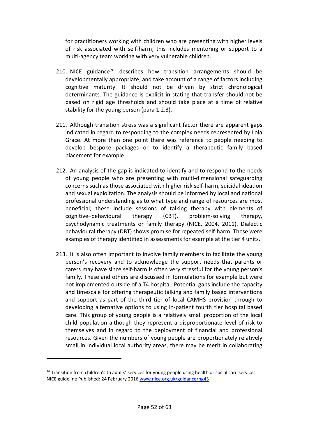for practitioners working with children who are presenting with higher levels of risk associated with self-harm; this includes mentoring or support to a multi-agency team working with very vulnerable children.

- 210. NICE guidance<sup>[26](#page-51-0)</sup> describes how transition arrangements should be developmentally appropriate, and take account of a range of factors including cognitive maturity. It should not be driven by strict chronological determinants. The guidance is explicit in stating that transfer should not be based on rigid age thresholds and should take place at a time of relative stability for the young person (para 1.2.3).
- 211. Although transition stress was a significant factor there are apparent gaps indicated in regard to responding to the complex needs represented by Lola Grace. At more than one point there was reference to people needing to develop bespoke packages or to identify a therapeutic family based placement for example.
- 212. An analysis of the gap is indicated to identify and to respond to the needs of young people who are presenting with multi-dimensional safeguarding concerns such as those associated with higher risk self-harm, suicidal ideation and sexual exploitation. The analysis should be informed by local and national professional understanding as to what type and range of resources are most beneficial; these include sessions of talking therapy with elements of cognitive–behavioural therapy (CBT), problem-solving therapy, psychodynamic treatments or family therapy (NICE, 2004, 2011). Dialectic behavioural therapy (DBT) shows promise for repeated self-harm. These were examples of therapy identified in assessments for example at the tier 4 units.
- 213. It is also often important to involve family members to facilitate the young person's recovery and to acknowledge the support needs that parents or carers may have since self-harm is often very stressful for the young person's family. These and others are discussed in formulations for example but were not implemented outside of a T4 hospital. Potential gaps include the capacity and timescale for offering therapeutic talking and family based interventions and support as part of the third tier of local CAMHS provision through to developing alternative options to using in-patient fourth tier hospital based care. This group of young people is a relatively small proportion of the local child population although they represent a disproportionate level of risk to themselves and in regard to the deployment of financial and professional resources. Given the numbers of young people are proportionately relatively small in individual local authority areas, there may be merit in collaborating

<span id="page-51-0"></span><sup>&</sup>lt;sup>26</sup> Transition from children's to adults' services for young people using health or social care services. NICE guideline Published: 24 February 2016 [www.nice.org.uk/guidance/ng43](http://www.nice.org.uk/guidance/ng43)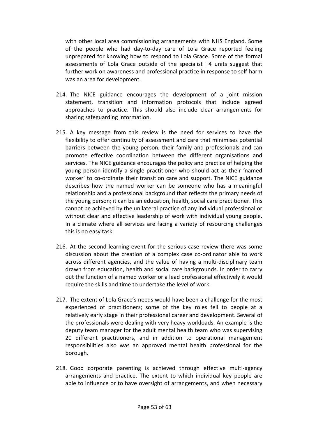with other local area commissioning arrangements with NHS England. Some of the people who had day-to-day care of Lola Grace reported feeling unprepared for knowing how to respond to Lola Grace. Some of the formal assessments of Lola Grace outside of the specialist T4 units suggest that further work on awareness and professional practice in response to self-harm was an area for development.

- 214. The NICE guidance encourages the development of a joint mission statement, transition and information protocols that include agreed approaches to practice. This should also include clear arrangements for sharing safeguarding information.
- 215. A key message from this review is the need for services to have the flexibility to offer continuity of assessment and care that minimises potential barriers between the young person, their family and professionals and can promote effective coordination between the different organisations and services. The NICE guidance encourages the policy and practice of helping the young person identify a single practitioner who should act as their 'named worker' to co-ordinate their transition care and support. The NICE guidance describes how the named worker can be someone who has a meaningful relationship and a professional background that reflects the primary needs of the young person; it can be an education, health, social care practitioner. This cannot be achieved by the unilateral practice of any individual professional or without clear and effective leadership of work with individual young people. In a climate where all services are facing a variety of resourcing challenges this is no easy task.
- 216. At the second learning event for the serious case review there was some discussion about the creation of a complex case co-ordinator able to work across different agencies, and the value of having a multi-disciplinary team drawn from education, health and social care backgrounds. In order to carry out the function of a named worker or a lead professional effectively it would require the skills and time to undertake the level of work.
- 217. The extent of Lola Grace's needs would have been a challenge for the most experienced of practitioners; some of the key roles fell to people at a relatively early stage in their professional career and development. Several of the professionals were dealing with very heavy workloads. An example is the deputy team manager for the adult mental health team who was supervising 20 different practitioners, and in addition to operational management responsibilities also was an approved mental health professional for the borough.
- 218. Good corporate parenting is achieved through effective multi-agency arrangements and practice. The extent to which individual key people are able to influence or to have oversight of arrangements, and when necessary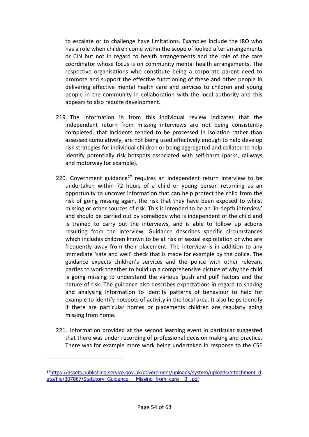to escalate or to challenge have limitations. Examples include the IRO who has a role when children come within the scope of looked after arrangements or CIN but not in regard to health arrangements and the role of the care coordinator whose focus is on community mental health arrangements. The respective organisations who constitute being a corporate parent need to promote and support the effective functioning of these and other people in delivering effective mental health care and services to children and young people in the community in collaboration with the local authority and this appears to also require development.

- 219. The information in from this individual review indicates that the independent return from missing interviews are not being consistently completed, that incidents tended to be processed in isolation rather than assessed cumulatively, are not being used effectively enough to help develop risk strategies for individual children or being aggregated and collated to help identify potentially risk hotspots associated with self-harm (parks, railways and motorway for example).
- 220. Government guidance<sup>[27](#page-53-0)</sup> requires an independent return interview to be undertaken within 72 hours of a child or young person returning as an opportunity to uncover information that can help protect the child from the risk of going missing again, the risk that they have been exposed to whilst missing or other sources of risk. This is intended to be an 'in-depth interview' and should be carried out by somebody who is independent of the child and is trained to carry out the interviews, and is able to follow up actions resulting from the interview. Guidance describes specific circumstances which includes children known to be at risk of sexual exploitation or who are frequently away from their placement. The interview is in addition to any immediate 'safe and well' check that is made for example by the police. The guidance expects children's services and the police with other relevant parties to work together to build up a comprehensive picture of why the child is going missing to understand the various 'push and pull' factors and the nature of risk. The guidance also describes expectations in regard to sharing and analysing information to identify patterns of behaviour to help for example to identify hotspots of activity in the local area. It also helps identify if there are particular homes or placements children are regularly going missing from home.
- 221. Information provided at the second learning event in particular suggested that there was under recording of professional decision making and practice. There was for example more work being undertaken in response to the CSE

<span id="page-53-0"></span><sup>&</sup>lt;sup>27</sup>https://assets.publishing.service.gov.uk/government/uploads/system/uploads/attachment\_d ata/file/307867/Statutory Guidance - Missing from care 3.pdf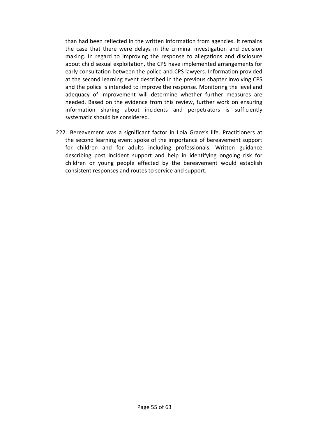than had been reflected in the written information from agencies. It remains the case that there were delays in the criminal investigation and decision making. In regard to improving the response to allegations and disclosure about child sexual exploitation, the CPS have implemented arrangements for early consultation between the police and CPS lawyers. Information provided at the second learning event described in the previous chapter involving CPS and the police is intended to improve the response. Monitoring the level and adequacy of improvement will determine whether further measures are needed. Based on the evidence from this review, further work on ensuring information sharing about incidents and perpetrators is sufficiently systematic should be considered.

222. Bereavement was a significant factor in Lola Grace's life. Practitioners at the second learning event spoke of the importance of bereavement support for children and for adults including professionals. Written guidance describing post incident support and help in identifying ongoing risk for children or young people effected by the bereavement would establish consistent responses and routes to service and support.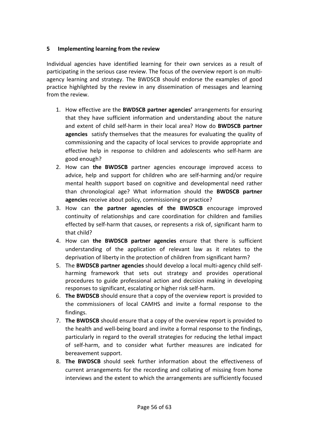# <span id="page-55-0"></span>**5 Implementing learning from the review**

Individual agencies have identified learning for their own services as a result of participating in the serious case review. The focus of the overview report is on multiagency learning and strategy. The BWDSCB should endorse the examples of good practice highlighted by the review in any dissemination of messages and learning from the review.

- 1. How effective are the **BWDSCB partner agencies'** arrangements for ensuring that they have sufficient information and understanding about the nature and extent of child self-harm in their local area? How do **BWDSCB partner agencies** satisfy themselves that the measures for evaluating the quality of commissioning and the capacity of local services to provide appropriate and effective help in response to children and adolescents who self-harm are good enough?
- 2. How can **the BWDSCB** partner agencies encourage improved access to advice, help and support for children who are self-harming and/or require mental health support based on cognitive and developmental need rather than chronological age? What information should the **BWDSCB partner agencies** receive about policy, commissioning or practice?
- 3. How can **the partner agencies of the BWDSCB** encourage improved continuity of relationships and care coordination for children and families effected by self-harm that causes, or represents a risk of, significant harm to that child?
- 4. How can **the BWDSCB partner agencies** ensure that there is sufficient understanding of the application of relevant law as it relates to the deprivation of liberty in the protection of children from significant harm?
- 5. The **BWDSCB partner agencies** should develop a local multi-agency child selfharming framework that sets out strategy and provides operational procedures to guide professional action and decision making in developing responses to significant, escalating or higher risk self-harm.
- 6. **The BWDSCB** should ensure that a copy of the overview report is provided to the commissioners of local CAMHS and invite a formal response to the findings.
- 7. **The BWDSCB** should ensure that a copy of the overview report is provided to the health and well-being board and invite a formal response to the findings, particularly in regard to the overall strategies for reducing the lethal impact of self-harm, and to consider what further measures are indicated for bereavement support.
- 8. **The BWDSCB** should seek further information about the effectiveness of current arrangements for the recording and collating of missing from home interviews and the extent to which the arrangements are sufficiently focused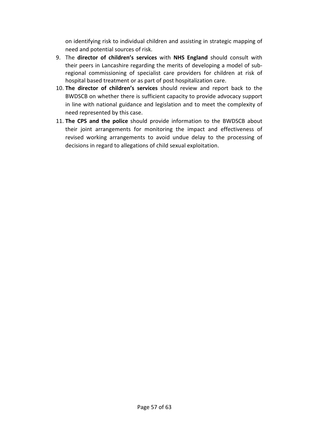on identifying risk to individual children and assisting in strategic mapping of need and potential sources of risk.

- 9. The **director of children's services** with **NHS England** should consult with their peers in Lancashire regarding the merits of developing a model of subregional commissioning of specialist care providers for children at risk of hospital based treatment or as part of post hospitalization care.
- 10. **The director of children's services** should review and report back to the BWDSCB on whether there is sufficient capacity to provide advocacy support in line with national guidance and legislation and to meet the complexity of need represented by this case.
- 11. **The CPS and the police** should provide information to the BWDSCB about their joint arrangements for monitoring the impact and effectiveness of revised working arrangements to avoid undue delay to the processing of decisions in regard to allegations of child sexual exploitation.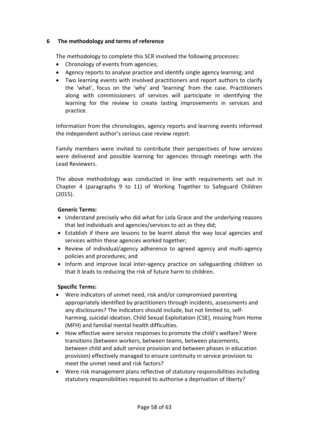# <span id="page-57-0"></span>**6 The methodology and terms of reference**

The methodology to complete this SCR involved the following processes:

- Chronology of events from agencies;
- Agency reports to analyse practice and identify single agency learning; and
- Two learning events with involved practitioners and report authors to clarify the 'what', focus on the 'why' and 'learning' from the case. Practitioners along with commissioners of services will participate in identifying the learning for the review to create lasting improvements in services and practice.

Information from the chronologies, agency reports and learning events informed the independent author's serious case review report.

Family members were invited to contribute their perspectives of how services were delivered and possible learning for agencies through meetings with the Lead Reviewers.

The above methodology was conducted in line with requirements set out in Chapter 4 (paragraphs 9 to 11) of Working Together to Safeguard Children (2015).

#### **Generic Terms:**

- Understand precisely who did what for Lola Grace and the underlying reasons that led individuals and agencies/services to act as they did;
- Establish if there are lessons to be learnt about the way local agencies and services within these agencies worked together;
- Review of individual/agency adherence to agreed agency and multi-agency policies and procedures; and
- Inform and improve local inter-agency practice on safeguarding children so that it leads to reducing the risk of future harm to children.

# **Specific Terms:**

- Were indicators of unmet need, risk and/or compromised parenting appropriately identified by practitioners through incidents, assessments and any disclosures? The indicators should include, but not limited to, selfharming, suicidal ideation, Child Sexual Exploitation (CSE), missing from Home (MFH) and familial mental health difficulties.
- How effective were service responses to promote the child's welfare? Were transitions (between workers, between teams, between placements, between child and adult service provision and between phases in education provision) effectively managed to ensure continuity in service provision to meet the unmet need and risk factors?
- Were risk management plans reflective of statutory responsibilities including statutory responsibilities required to authorise a deprivation of liberty?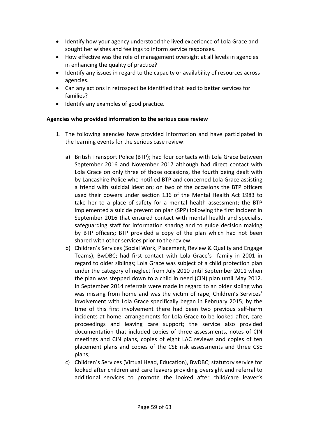- Identify how your agency understood the lived experience of Lola Grace and sought her wishes and feelings to inform service responses.
- How effective was the role of management oversight at all levels in agencies in enhancing the quality of practice?
- Identify any issues in regard to the capacity or availability of resources across agencies.
- Can any actions in retrospect be identified that lead to better services for families?
- Identify any examples of good practice.

#### **Agencies who provided information to the serious case review**

- 1. The following agencies have provided information and have participated in the learning events for the serious case review:
	- a) British Transport Police (BTP); had four contacts with Lola Grace between September 2016 and November 2017 although had direct contact with Lola Grace on only three of those occasions, the fourth being dealt with by Lancashire Police who notified BTP and concerned Lola Grace assisting a friend with suicidal ideation; on two of the occasions the BTP officers used their powers under section 136 of the Mental Health Act 1983 to take her to a place of safety for a mental health assessment; the BTP implemented a suicide prevention plan (SPP) following the first incident in September 2016 that ensured contact with mental health and specialist safeguarding staff for information sharing and to guide decision making by BTP officers; BTP provided a copy of the plan which had not been shared with other services prior to the review;
	- b) Children's Services (Social Work, Placement, Review & Quality and Engage Teams), BwDBC; had first contact with Lola Grace's family in 2001 in regard to older siblings; Lola Grace was subject of a child protection plan under the category of neglect from July 2010 until September 2011 when the plan was stepped down to a child in need (CIN) plan until May 2012. In September 2014 referrals were made in regard to an older sibling who was missing from home and was the victim of rape; Children's Services' involvement with Lola Grace specifically began in February 2015; by the time of this first involvement there had been two previous self-harm incidents at home; arrangements for Lola Grace to be looked after, care proceedings and leaving care support; the service also provided documentation that included copies of three assessments, notes of CIN meetings and CIN plans, copies of eight LAC reviews and copies of ten placement plans and copies of the CSE risk assessments and three CSE plans;
	- c) Children's Services (Virtual Head, Education), BwDBC; statutory service for looked after children and care leavers providing oversight and referral to additional services to promote the looked after child/care leaver's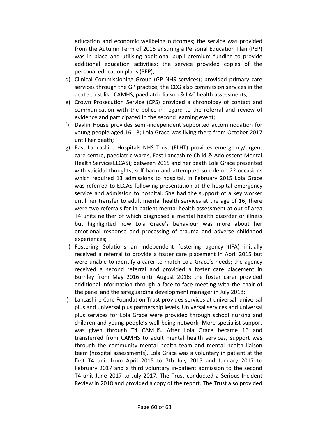education and economic wellbeing outcomes; the service was provided from the Autumn Term of 2015 ensuring a Personal Education Plan (PEP) was in place and utilising additional pupil premium funding to provide additional education activities; the service provided copies of the personal education plans (PEP);

- d) Clinical Commissioning Group (GP NHS services); provided primary care services through the GP practice; the CCG also commission services in the acute trust like CAMHS, paediatric liaison & LAC health assessments;
- e) Crown Prosecution Service (CPS) provided a chronology of contact and communication with the police in regard to the referral and review of evidence and participated in the second learning event;
- f) Davlin House provides semi-independent supported accommodation for young people aged 16-18; Lola Grace was living there from October 2017 until her death;
- g) East Lancashire Hospitals NHS Trust (ELHT) provides emergency/urgent care centre, paediatric wards, East Lancashire Child & Adolescent Mental Health Service(ELCAS); between 2015 and her death Lola Grace presented with suicidal thoughts, self-harm and attempted suicide on 22 occasions which required 13 admissions to hospital. In February 2015 Lola Grace was referred to ELCAS following presentation at the hospital emergency service and admission to hospital. She had the support of a key worker until her transfer to adult mental health services at the age of 16; there were two referrals for in-patient mental health assessment at out of area T4 units neither of which diagnosed a mental health disorder or illness but highlighted how Lola Grace's behaviour was more about her emotional response and processing of trauma and adverse childhood experiences;
- h) Fostering Solutions an independent fostering agency (IFA) initially received a referral to provide a foster care placement in April 2015 but were unable to identify a carer to match Lola Grace's needs; the agency received a second referral and provided a foster care placement in Burnley from May 2016 until August 2016; the foster carer provided additional information through a face-to-face meeting with the chair of the panel and the safeguarding development manager in July 2018;
- i) Lancashire Care Foundation Trust provides services at universal, universal plus and universal plus partnership levels. Universal services and universal plus services for Lola Grace were provided through school nursing and children and young people's well-being network. More specialist support was given through T4 CAMHS. After Lola Grace became 16 and transferred from CAMHS to adult mental health services, support was through the community mental health team and mental health liaison team (hospital assessments). Lola Grace was a voluntary in patient at the first T4 unit from April 2015 to 7th July 2015 and January 2017 to February 2017 and a third voluntary in-patient admission to the second T4 unit June 2017 to July 2017. The Trust conducted a Serious Incident Review in 2018 and provided a copy of the report. The Trust also provided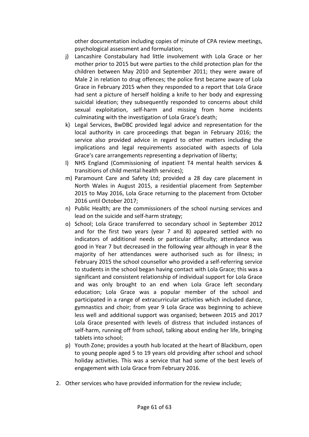other documentation including copies of minute of CPA review meetings, psychological assessment and formulation;

- j) Lancashire Constabulary had little involvement with Lola Grace or her mother prior to 2015 but were parties to the child protection plan for the children between May 2010 and September 2011; they were aware of Male 2 in relation to drug offences; the police first became aware of Lola Grace in February 2015 when they responded to a report that Lola Grace had sent a picture of herself holding a knife to her body and expressing suicidal ideation; they subsequently responded to concerns about child sexual exploitation, self-harm and missing from home incidents culminating with the investigation of Lola Grace's death;
- k) Legal Services, BwDBC provided legal advice and representation for the local authority in care proceedings that began in February 2016; the service also provided advice in regard to other matters including the implications and legal requirements associated with aspects of Lola Grace's care arrangements representing a deprivation of liberty;
- l) NHS England (Commissioning of inpatient T4 mental health services & transitions of child mental health services);
- m) Paramount Care and Safety Ltd; provided a 28 day care placement in North Wales in August 2015, a residential placement from September 2015 to May 2016, Lola Grace returning to the placement from October 2016 until October 2017;
- n) Public Health; are the commissioners of the school nursing services and lead on the suicide and self-harm strategy;
- o) School; Lola Grace transferred to secondary school in September 2012 and for the first two years (year 7 and 8) appeared settled with no indicators of additional needs or particular difficulty; attendance was good in Year 7 but decreased in the following year although in year 8 the majority of her attendances were authorised such as for illness; in February 2015 the school counsellor who provided a self-referring service to students in the school began having contact with Lola Grace; this was a significant and consistent relationship of individual support for Lola Grace and was only brought to an end when Lola Grace left secondary education; Lola Grace was a popular member of the school and participated in a range of extracurricular activities which included dance, gymnastics and choir; from year 9 Lola Grace was beginning to achieve less well and additional support was organised; between 2015 and 2017 Lola Grace presented with levels of distress that included instances of self-harm, running off from school, talking about ending her life, bringing tablets into school;
- p) Youth Zone; provides a youth hub located at the heart of Blackburn, open to young people aged 5 to 19 years old providing after school and school holiday activities. This was a service that had some of the best levels of engagement with Lola Grace from February 2016.
- 2. Other services who have provided information for the review include;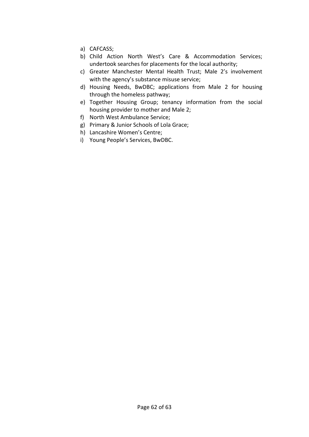- a) CAFCASS;
- b) Child Action North West's Care & Accommodation Services; undertook searches for placements for the local authority;
- c) Greater Manchester Mental Health Trust; Male 2's involvement with the agency's substance misuse service;
- d) Housing Needs, BwDBC; applications from Male 2 for housing through the homeless pathway;
- e) Together Housing Group; tenancy information from the social housing provider to mother and Male 2;
- f) North West Ambulance Service;
- g) Primary & Junior Schools of Lola Grace;
- h) Lancashire Women's Centre;
- i) Young People's Services, BwDBC.